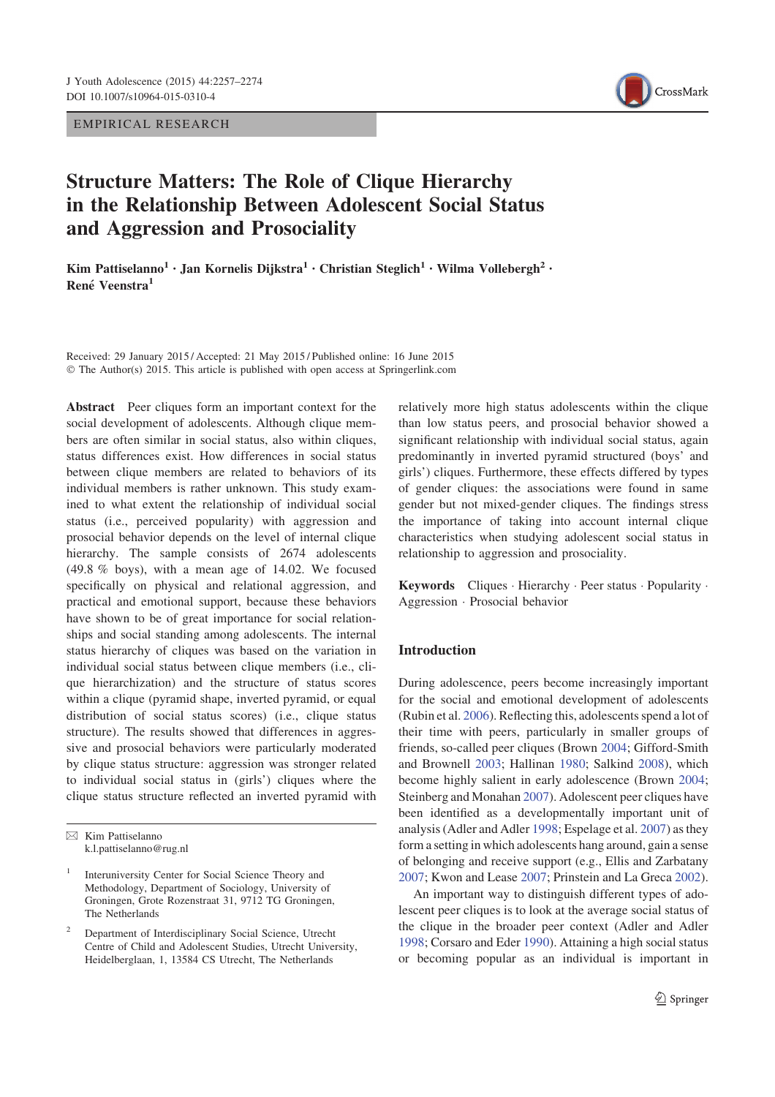EMPIRICAL RESEARCH



# Structure Matters: The Role of Clique Hierarchy in the Relationship Between Adolescent Social Status and Aggression and Prosociality

Kim Pattiselanno<sup>1</sup> · Jan Kornelis Dijkstra<sup>1</sup> · Christian Steglich<sup>1</sup> · Wilma Vollebergh<sup>2</sup> · René Veenstra<sup>1</sup>

Received: 29 January 2015 / Accepted: 21 May 2015 / Published online: 16 June 2015 © The Author(s) 2015. This article is published with open access at Springerlink.com

Abstract Peer cliques form an important context for the social development of adolescents. Although clique members are often similar in social status, also within cliques, status differences exist. How differences in social status between clique members are related to behaviors of its individual members is rather unknown. This study examined to what extent the relationship of individual social status (i.e., perceived popularity) with aggression and prosocial behavior depends on the level of internal clique hierarchy. The sample consists of 2674 adolescents (49.8 % boys), with a mean age of 14.02. We focused specifically on physical and relational aggression, and practical and emotional support, because these behaviors have shown to be of great importance for social relationships and social standing among adolescents. The internal status hierarchy of cliques was based on the variation in individual social status between clique members (i.e., clique hierarchization) and the structure of status scores within a clique (pyramid shape, inverted pyramid, or equal distribution of social status scores) (i.e., clique status structure). The results showed that differences in aggressive and prosocial behaviors were particularly moderated by clique status structure: aggression was stronger related to individual social status in (girls') cliques where the clique status structure reflected an inverted pyramid with relatively more high status adolescents within the clique than low status peers, and prosocial behavior showed a significant relationship with individual social status, again predominantly in inverted pyramid structured (boys' and girls') cliques. Furthermore, these effects differed by types of gender cliques: the associations were found in same gender but not mixed-gender cliques. The findings stress the importance of taking into account internal clique characteristics when studying adolescent social status in relationship to aggression and prosociality.

Keywords Cliques · Hierarchy · Peer status · Popularity · Aggression - Prosocial behavior

## Introduction

During adolescence, peers become increasingly important for the social and emotional development of adolescents (Rubin et al. 2006). Reflecting this, adolescents spend a lot of their time with peers, particularly in smaller groups of friends, so-called peer cliques (Brown 2004; Gifford-Smith and Brownell 2003; Hallinan 1980; Salkind 2008), which become highly salient in early adolescence (Brown 2004; Steinberg and Monahan 2007). Adolescent peer cliques have been identified as a developmentally important unit of analysis (Adler and Adler 1998; Espelage et al. 2007) as they form a setting in which adolescents hang around, gain a sense of belonging and receive support (e.g., Ellis and Zarbatany 2007; Kwon and Lease 2007; Prinstein and La Greca 2002).

An important way to distinguish different types of adolescent peer cliques is to look at the average social status of the clique in the broader peer context (Adler and Adler 1998; Corsaro and Eder 1990). Attaining a high social status or becoming popular as an individual is important in

 $\boxtimes$  Kim Pattiselanno k.l.pattiselanno@rug.nl

<sup>1</sup> Interuniversity Center for Social Science Theory and Methodology, Department of Sociology, University of Groningen, Grote Rozenstraat 31, 9712 TG Groningen, The Netherlands

<sup>2</sup> Department of Interdisciplinary Social Science, Utrecht Centre of Child and Adolescent Studies, Utrecht University, Heidelberglaan, 1, 13584 CS Utrecht, The Netherlands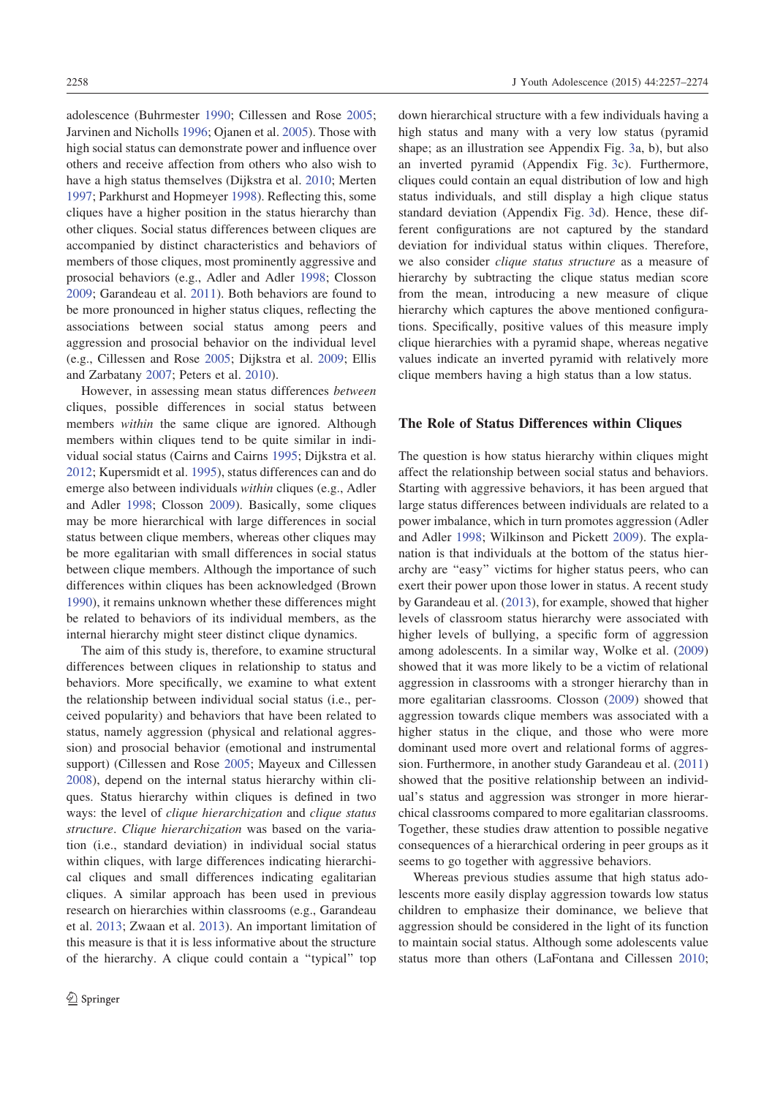adolescence (Buhrmester 1990; Cillessen and Rose 2005; Jarvinen and Nicholls 1996; Ojanen et al. 2005). Those with high social status can demonstrate power and influence over others and receive affection from others who also wish to have a high status themselves (Dijkstra et al. 2010; Merten 1997; Parkhurst and Hopmeyer 1998). Reflecting this, some cliques have a higher position in the status hierarchy than other cliques. Social status differences between cliques are accompanied by distinct characteristics and behaviors of members of those cliques, most prominently aggressive and prosocial behaviors (e.g., Adler and Adler 1998; Closson 2009; Garandeau et al. 2011). Both behaviors are found to be more pronounced in higher status cliques, reflecting the associations between social status among peers and aggression and prosocial behavior on the individual level (e.g., Cillessen and Rose 2005; Dijkstra et al. 2009; Ellis and Zarbatany 2007; Peters et al. 2010).

However, in assessing mean status differences between cliques, possible differences in social status between members within the same clique are ignored. Although members within cliques tend to be quite similar in individual social status (Cairns and Cairns 1995; Dijkstra et al. 2012; Kupersmidt et al. 1995), status differences can and do emerge also between individuals within cliques (e.g., Adler and Adler 1998; Closson 2009). Basically, some cliques may be more hierarchical with large differences in social status between clique members, whereas other cliques may be more egalitarian with small differences in social status between clique members. Although the importance of such differences within cliques has been acknowledged (Brown 1990), it remains unknown whether these differences might be related to behaviors of its individual members, as the internal hierarchy might steer distinct clique dynamics.

The aim of this study is, therefore, to examine structural differences between cliques in relationship to status and behaviors. More specifically, we examine to what extent the relationship between individual social status (i.e., perceived popularity) and behaviors that have been related to status, namely aggression (physical and relational aggression) and prosocial behavior (emotional and instrumental support) (Cillessen and Rose 2005; Mayeux and Cillessen 2008), depend on the internal status hierarchy within cliques. Status hierarchy within cliques is defined in two ways: the level of clique hierarchization and clique status structure. Clique hierarchization was based on the variation (i.e., standard deviation) in individual social status within cliques, with large differences indicating hierarchical cliques and small differences indicating egalitarian cliques. A similar approach has been used in previous research on hierarchies within classrooms (e.g., Garandeau et al. 2013; Zwaan et al. 2013). An important limitation of this measure is that it is less informative about the structure of the hierarchy. A clique could contain a ''typical'' top down hierarchical structure with a few individuals having a high status and many with a very low status (pyramid shape; as an illustration see Appendix Fig. 3a, b), but also an inverted pyramid (Appendix Fig. 3c). Furthermore, cliques could contain an equal distribution of low and high status individuals, and still display a high clique status standard deviation (Appendix Fig. 3d). Hence, these different configurations are not captured by the standard deviation for individual status within cliques. Therefore, we also consider clique status structure as a measure of hierarchy by subtracting the clique status median score from the mean, introducing a new measure of clique hierarchy which captures the above mentioned configurations. Specifically, positive values of this measure imply clique hierarchies with a pyramid shape, whereas negative values indicate an inverted pyramid with relatively more clique members having a high status than a low status.

#### The Role of Status Differences within Cliques

The question is how status hierarchy within cliques might affect the relationship between social status and behaviors. Starting with aggressive behaviors, it has been argued that large status differences between individuals are related to a power imbalance, which in turn promotes aggression (Adler and Adler 1998; Wilkinson and Pickett 2009). The explanation is that individuals at the bottom of the status hierarchy are ''easy'' victims for higher status peers, who can exert their power upon those lower in status. A recent study by Garandeau et al. (2013), for example, showed that higher levels of classroom status hierarchy were associated with higher levels of bullying, a specific form of aggression among adolescents. In a similar way, Wolke et al. (2009) showed that it was more likely to be a victim of relational aggression in classrooms with a stronger hierarchy than in more egalitarian classrooms. Closson (2009) showed that aggression towards clique members was associated with a higher status in the clique, and those who were more dominant used more overt and relational forms of aggression. Furthermore, in another study Garandeau et al. (2011) showed that the positive relationship between an individual's status and aggression was stronger in more hierarchical classrooms compared to more egalitarian classrooms. Together, these studies draw attention to possible negative consequences of a hierarchical ordering in peer groups as it seems to go together with aggressive behaviors.

Whereas previous studies assume that high status adolescents more easily display aggression towards low status children to emphasize their dominance, we believe that aggression should be considered in the light of its function to maintain social status. Although some adolescents value status more than others (LaFontana and Cillessen 2010;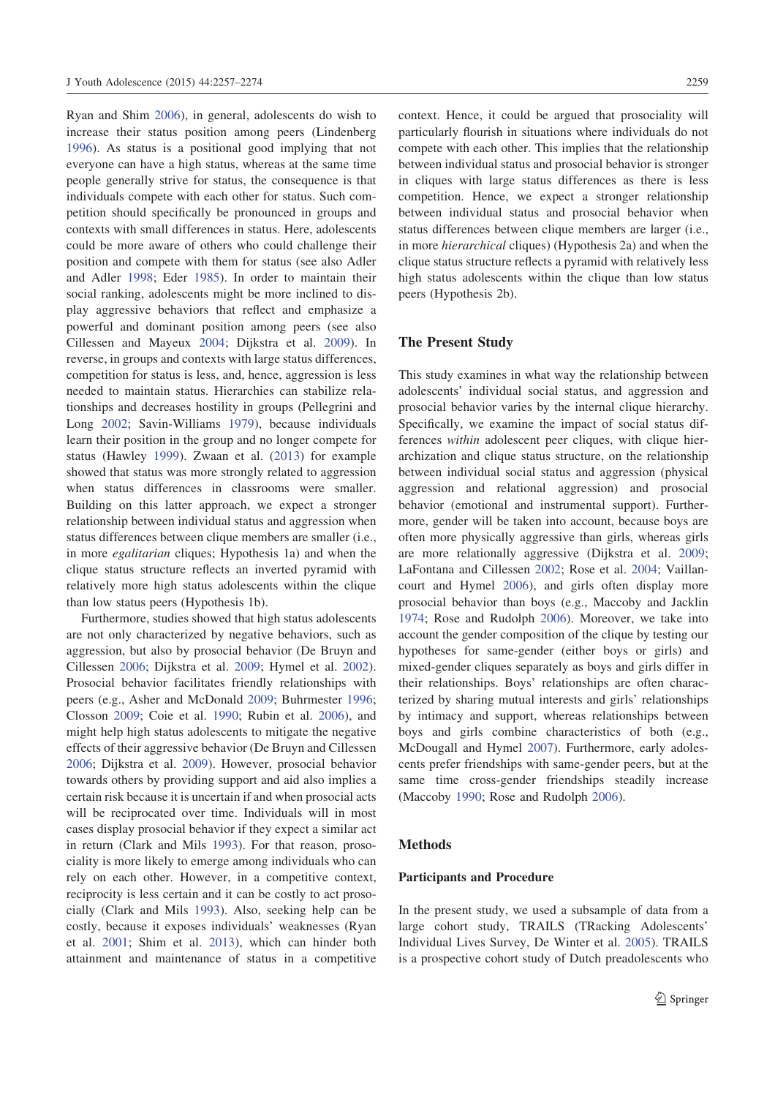Ryan and Shim 2006), in general, adolescents do wish to increase their status position among peers (Lindenberg 1996). As status is a positional good implying that not everyone can have a high status, whereas at the same time people generally strive for status, the consequence is that individuals compete with each other for status. Such competition should specifically be pronounced in groups and contexts with small differences in status. Here, adolescents could be more aware of others who could challenge their position and compete with them for status (see also Adler and Adler 1998; Eder 1985). In order to maintain their social ranking, adolescents might be more inclined to display aggressive behaviors that reflect and emphasize a powerful and dominant position among peers (see also Cillessen and Mayeux 2004; Dijkstra et al. 2009). In reverse, in groups and contexts with large status differences, competition for status is less, and, hence, aggression is less needed to maintain status. Hierarchies can stabilize relationships and decreases hostility in groups (Pellegrini and Long 2002; Savin-Williams 1979), because individuals learn their position in the group and no longer compete for status (Hawley 1999). Zwaan et al. (2013) for example showed that status was more strongly related to aggression when status differences in classrooms were smaller. Building on this latter approach, we expect a stronger relationship between individual status and aggression when status differences between clique members are smaller (i.e., in more egalitarian cliques; Hypothesis 1a) and when the clique status structure reflects an inverted pyramid with relatively more high status adolescents within the clique than low status peers (Hypothesis 1b).

Furthermore, studies showed that high status adolescents are not only characterized by negative behaviors, such as aggression, but also by prosocial behavior (De Bruyn and Cillessen 2006; Dijkstra et al. 2009; Hymel et al. 2002). Prosocial behavior facilitates friendly relationships with peers (e.g., Asher and McDonald 2009; Buhrmester 1996; Closson 2009; Coie et al. 1990; Rubin et al. 2006), and might help high status adolescents to mitigate the negative effects of their aggressive behavior (De Bruyn and Cillessen 2006; Dijkstra et al. 2009). However, prosocial behavior towards others by providing support and aid also implies a certain risk because it is uncertain if and when prosocial acts will be reciprocated over time. Individuals will in most cases display prosocial behavior if they expect a similar act in return (Clark and Mils 1993). For that reason, prosociality is more likely to emerge among individuals who can rely on each other. However, in a competitive context, reciprocity is less certain and it can be costly to act prosocially (Clark and Mils 1993). Also, seeking help can be costly, because it exposes individuals' weaknesses (Ryan et al. 2001; Shim et al. 2013), which can hinder both attainment and maintenance of status in a competitive context. Hence, it could be argued that prosociality will particularly flourish in situations where individuals do not compete with each other. This implies that the relationship between individual status and prosocial behavior is stronger in cliques with large status differences as there is less competition. Hence, we expect a stronger relationship between individual status and prosocial behavior when status differences between clique members are larger (i.e., in more hierarchical cliques) (Hypothesis 2a) and when the clique status structure reflects a pyramid with relatively less high status adolescents within the clique than low status peers (Hypothesis 2b).

## The Present Study

This study examines in what way the relationship between adolescents' individual social status, and aggression and prosocial behavior varies by the internal clique hierarchy. Specifically, we examine the impact of social status differences within adolescent peer cliques, with clique hierarchization and clique status structure, on the relationship between individual social status and aggression (physical aggression and relational aggression) and prosocial behavior (emotional and instrumental support). Furthermore, gender will be taken into account, because boys are often more physically aggressive than girls, whereas girls are more relationally aggressive (Dijkstra et al. 2009; LaFontana and Cillessen 2002; Rose et al. 2004; Vaillancourt and Hymel 2006), and girls often display more prosocial behavior than boys (e.g., Maccoby and Jacklin 1974; Rose and Rudolph 2006). Moreover, we take into account the gender composition of the clique by testing our hypotheses for same-gender (either boys or girls) and mixed-gender cliques separately as boys and girls differ in their relationships. Boys' relationships are often characterized by sharing mutual interests and girls' relationships by intimacy and support, whereas relationships between boys and girls combine characteristics of both (e.g., McDougall and Hymel 2007). Furthermore, early adolescents prefer friendships with same-gender peers, but at the same time cross-gender friendships steadily increase (Maccoby 1990; Rose and Rudolph 2006).

#### Methods

#### Participants and Procedure

In the present study, we used a subsample of data from a large cohort study, TRAILS (TRacking Adolescents' Individual Lives Survey, De Winter et al. 2005). TRAILS is a prospective cohort study of Dutch preadolescents who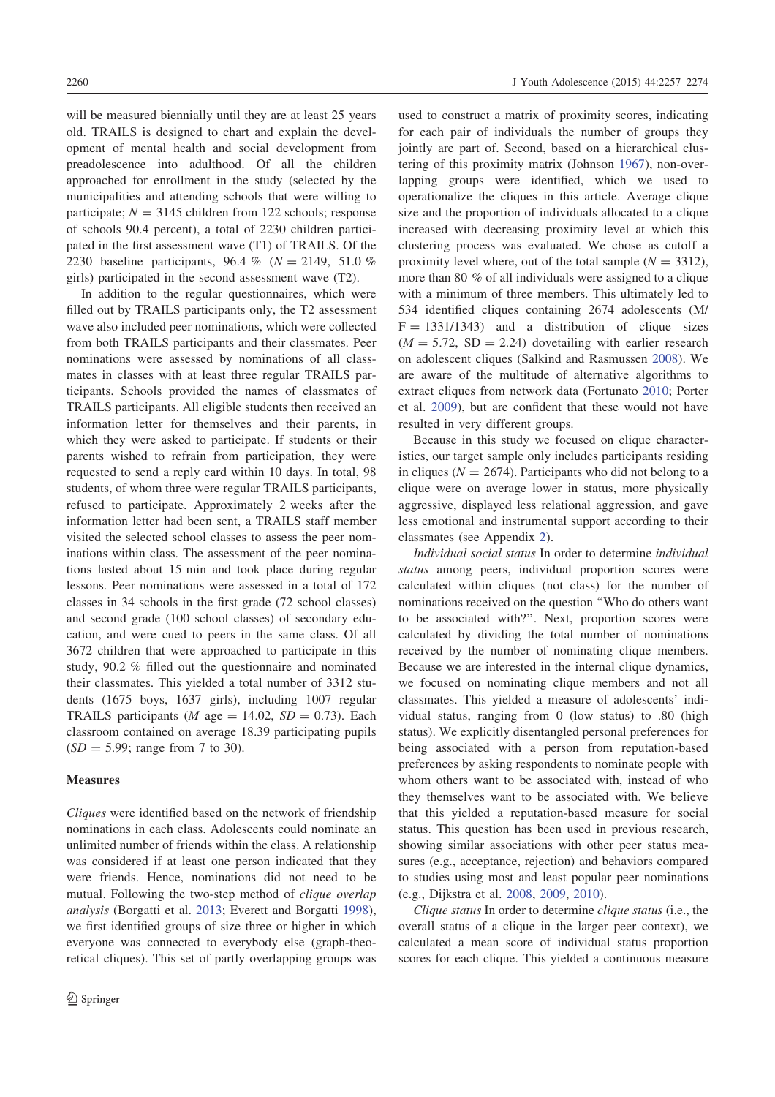will be measured biennially until they are at least 25 years old. TRAILS is designed to chart and explain the development of mental health and social development from preadolescence into adulthood. Of all the children approached for enrollment in the study (selected by the municipalities and attending schools that were willing to participate;  $N = 3145$  children from 122 schools; response of schools 90.4 percent), a total of 2230 children participated in the first assessment wave (T1) of TRAILS. Of the 2230 baseline participants, 96.4 % ( $N = 2149, 51.0$  % girls) participated in the second assessment wave (T2).

In addition to the regular questionnaires, which were filled out by TRAILS participants only, the T2 assessment wave also included peer nominations, which were collected from both TRAILS participants and their classmates. Peer nominations were assessed by nominations of all classmates in classes with at least three regular TRAILS participants. Schools provided the names of classmates of TRAILS participants. All eligible students then received an information letter for themselves and their parents, in which they were asked to participate. If students or their parents wished to refrain from participation, they were requested to send a reply card within 10 days. In total, 98 students, of whom three were regular TRAILS participants, refused to participate. Approximately 2 weeks after the information letter had been sent, a TRAILS staff member visited the selected school classes to assess the peer nominations within class. The assessment of the peer nominations lasted about 15 min and took place during regular lessons. Peer nominations were assessed in a total of 172 classes in 34 schools in the first grade (72 school classes) and second grade (100 school classes) of secondary education, and were cued to peers in the same class. Of all 3672 children that were approached to participate in this study, 90.2 % filled out the questionnaire and nominated their classmates. This yielded a total number of 3312 students (1675 boys, 1637 girls), including 1007 regular TRAILS participants (*M* age = 14.02,  $SD = 0.73$ ). Each classroom contained on average 18.39 participating pupils  $(SD = 5.99; \text{range from 7 to 30}).$ 

### Measures

Cliques were identified based on the network of friendship nominations in each class. Adolescents could nominate an unlimited number of friends within the class. A relationship was considered if at least one person indicated that they were friends. Hence, nominations did not need to be mutual. Following the two-step method of clique overlap analysis (Borgatti et al. 2013; Everett and Borgatti 1998), we first identified groups of size three or higher in which everyone was connected to everybody else (graph-theoretical cliques). This set of partly overlapping groups was used to construct a matrix of proximity scores, indicating for each pair of individuals the number of groups they jointly are part of. Second, based on a hierarchical clustering of this proximity matrix (Johnson 1967), non-overlapping groups were identified, which we used to operationalize the cliques in this article. Average clique size and the proportion of individuals allocated to a clique increased with decreasing proximity level at which this clustering process was evaluated. We chose as cutoff a proximity level where, out of the total sample ( $N = 3312$ ), more than 80 % of all individuals were assigned to a clique with a minimum of three members. This ultimately led to 534 identified cliques containing 2674 adolescents (M/  $F = 1331/1343$  and a distribution of clique sizes  $(M = 5.72, SD = 2.24)$  dovetailing with earlier research on adolescent cliques (Salkind and Rasmussen 2008). We are aware of the multitude of alternative algorithms to extract cliques from network data (Fortunato 2010; Porter et al. 2009), but are confident that these would not have resulted in very different groups.

Because in this study we focused on clique characteristics, our target sample only includes participants residing in cliques ( $N = 2674$ ). Participants who did not belong to a clique were on average lower in status, more physically aggressive, displayed less relational aggression, and gave less emotional and instrumental support according to their classmates (see Appendix 2).

Individual social status In order to determine individual status among peers, individual proportion scores were calculated within cliques (not class) for the number of nominations received on the question ''Who do others want to be associated with?''. Next, proportion scores were calculated by dividing the total number of nominations received by the number of nominating clique members. Because we are interested in the internal clique dynamics, we focused on nominating clique members and not all classmates. This yielded a measure of adolescents' individual status, ranging from 0 (low status) to .80 (high status). We explicitly disentangled personal preferences for being associated with a person from reputation-based preferences by asking respondents to nominate people with whom others want to be associated with, instead of who they themselves want to be associated with. We believe that this yielded a reputation-based measure for social status. This question has been used in previous research, showing similar associations with other peer status measures (e.g., acceptance, rejection) and behaviors compared to studies using most and least popular peer nominations (e.g., Dijkstra et al. 2008, 2009, 2010).

Clique status In order to determine clique status (i.e., the overall status of a clique in the larger peer context), we calculated a mean score of individual status proportion scores for each clique. This yielded a continuous measure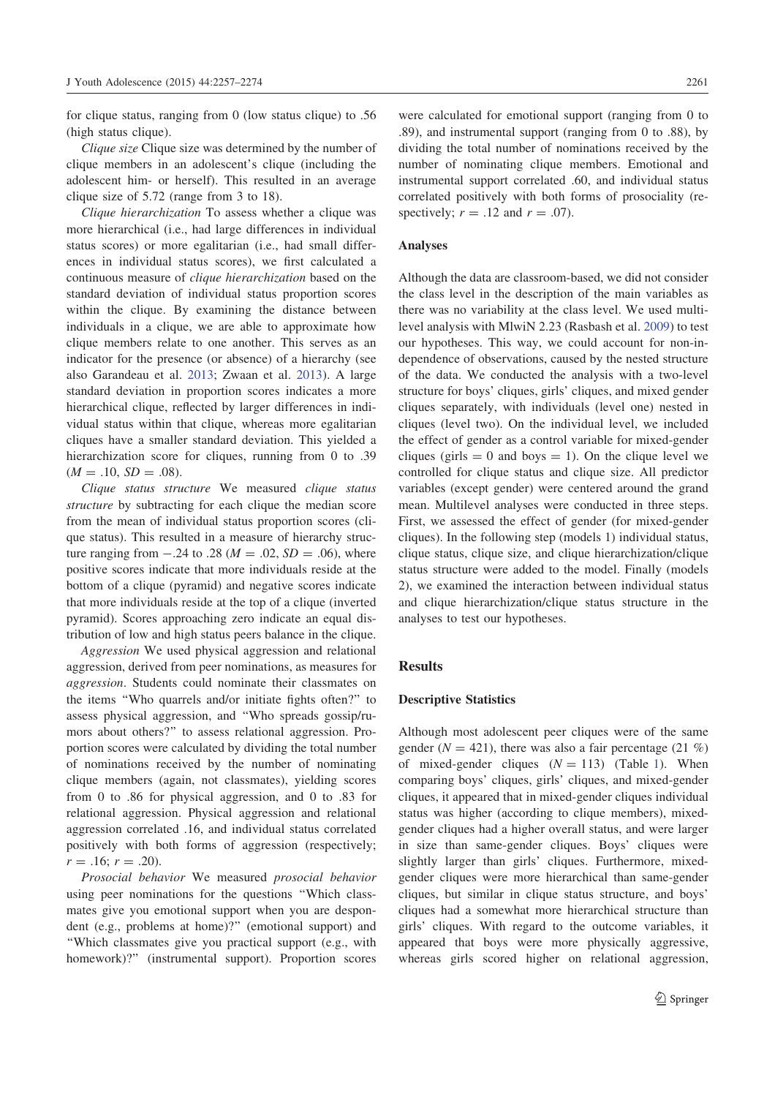for clique status, ranging from 0 (low status clique) to .56 (high status clique).

Clique size Clique size was determined by the number of clique members in an adolescent's clique (including the adolescent him- or herself). This resulted in an average clique size of 5.72 (range from 3 to 18).

Clique hierarchization To assess whether a clique was more hierarchical (i.e., had large differences in individual status scores) or more egalitarian (i.e., had small differences in individual status scores), we first calculated a continuous measure of clique hierarchization based on the standard deviation of individual status proportion scores within the clique. By examining the distance between individuals in a clique, we are able to approximate how clique members relate to one another. This serves as an indicator for the presence (or absence) of a hierarchy (see also Garandeau et al. 2013; Zwaan et al. 2013). A large standard deviation in proportion scores indicates a more hierarchical clique, reflected by larger differences in individual status within that clique, whereas more egalitarian cliques have a smaller standard deviation. This yielded a hierarchization score for cliques, running from 0 to .39  $(M = .10, SD = .08).$ 

Clique status structure We measured clique status structure by subtracting for each clique the median score from the mean of individual status proportion scores (clique status). This resulted in a measure of hierarchy structure ranging from  $-.24$  to .28 ( $M = .02$ ,  $SD = .06$ ), where positive scores indicate that more individuals reside at the bottom of a clique (pyramid) and negative scores indicate that more individuals reside at the top of a clique (inverted pyramid). Scores approaching zero indicate an equal distribution of low and high status peers balance in the clique.

Aggression We used physical aggression and relational aggression, derived from peer nominations, as measures for aggression. Students could nominate their classmates on the items ''Who quarrels and/or initiate fights often?'' to assess physical aggression, and ''Who spreads gossip/rumors about others?'' to assess relational aggression. Proportion scores were calculated by dividing the total number of nominations received by the number of nominating clique members (again, not classmates), yielding scores from 0 to .86 for physical aggression, and 0 to .83 for relational aggression. Physical aggression and relational aggression correlated .16, and individual status correlated positively with both forms of aggression (respectively;  $r = .16; r = .20$ ).

Prosocial behavior We measured prosocial behavior using peer nominations for the questions ''Which classmates give you emotional support when you are despondent (e.g., problems at home)?'' (emotional support) and ''Which classmates give you practical support (e.g., with homework)?'' (instrumental support). Proportion scores were calculated for emotional support (ranging from 0 to .89), and instrumental support (ranging from 0 to .88), by dividing the total number of nominations received by the number of nominating clique members. Emotional and instrumental support correlated .60, and individual status correlated positively with both forms of prosociality (respectively;  $r = .12$  and  $r = .07$ ).

## Analyses

Although the data are classroom-based, we did not consider the class level in the description of the main variables as there was no variability at the class level. We used multilevel analysis with MlwiN 2.23 (Rasbash et al. 2009) to test our hypotheses. This way, we could account for non-independence of observations, caused by the nested structure of the data. We conducted the analysis with a two-level structure for boys' cliques, girls' cliques, and mixed gender cliques separately, with individuals (level one) nested in cliques (level two). On the individual level, we included the effect of gender as a control variable for mixed-gender cliques (girls  $= 0$  and boys  $= 1$ ). On the clique level we controlled for clique status and clique size. All predictor variables (except gender) were centered around the grand mean. Multilevel analyses were conducted in three steps. First, we assessed the effect of gender (for mixed-gender cliques). In the following step (models 1) individual status, clique status, clique size, and clique hierarchization/clique status structure were added to the model. Finally (models 2), we examined the interaction between individual status and clique hierarchization/clique status structure in the analyses to test our hypotheses.

## Results

#### Descriptive Statistics

Although most adolescent peer cliques were of the same gender ( $N = 421$ ), there was also a fair percentage (21 %) of mixed-gender cliques  $(N = 113)$  (Table 1). When comparing boys' cliques, girls' cliques, and mixed-gender cliques, it appeared that in mixed-gender cliques individual status was higher (according to clique members), mixedgender cliques had a higher overall status, and were larger in size than same-gender cliques. Boys' cliques were slightly larger than girls' cliques. Furthermore, mixedgender cliques were more hierarchical than same-gender cliques, but similar in clique status structure, and boys' cliques had a somewhat more hierarchical structure than girls' cliques. With regard to the outcome variables, it appeared that boys were more physically aggressive, whereas girls scored higher on relational aggression,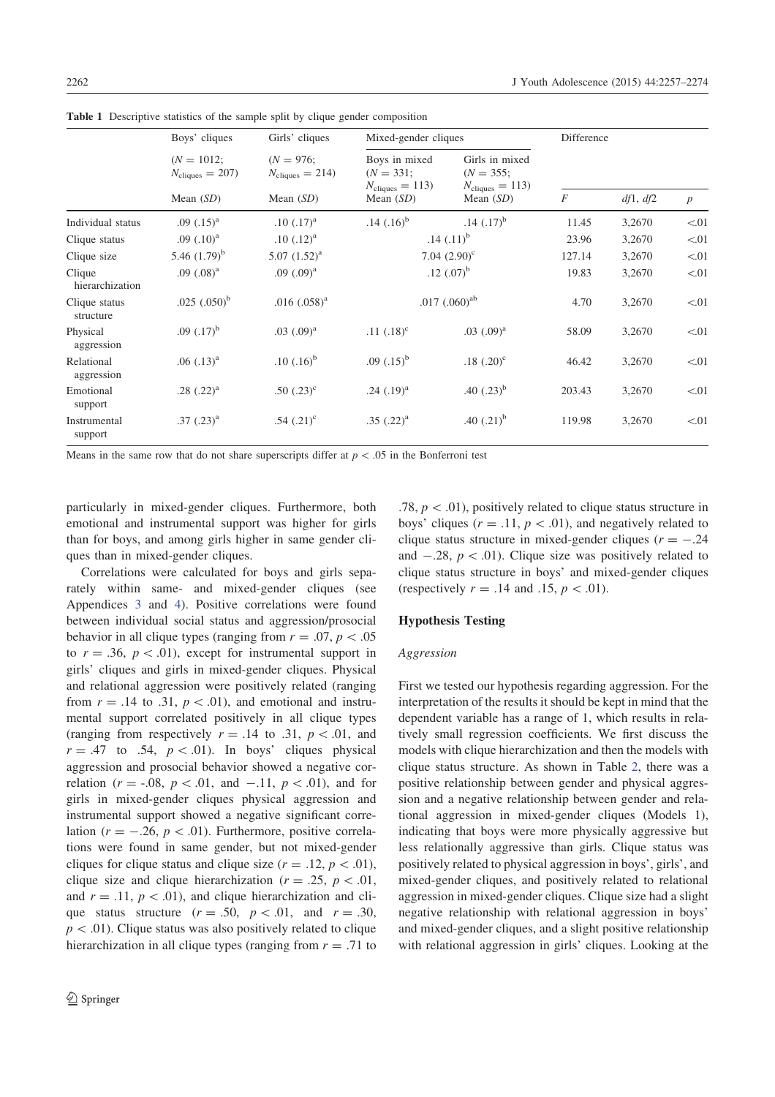|                            | Boys' cliques                              | Girls' cliques                            | Mixed-gender cliques                                       |                                                               | Difference |          |                  |
|----------------------------|--------------------------------------------|-------------------------------------------|------------------------------------------------------------|---------------------------------------------------------------|------------|----------|------------------|
|                            | $(N = 1012;$<br>$N_{\text{cliques}} = 207$ | $(N = 976;$<br>$N_{\text{cliques}} = 214$ | Boys in mixed<br>$(N = 331;$<br>$N_{\text{cliques}} = 113$ | Girls in mixed<br>$(N = 355)$ ;<br>$N_{\text{cliques}} = 113$ |            |          |                  |
|                            | Mean $(SD)$                                | Mean $(SD)$                               | Mean $(SD)$                                                | Mean $(SD)$                                                   | F          | df1, df2 | $\boldsymbol{p}$ |
| Individual status          | $.09$ $(.15)^{a}$                          | $.10$ $(.17)^{a}$                         | $.14$ $(.16)^{b}$                                          | $.14$ $(.17)^{b}$                                             | 11.45      | 3,2670   | < 01             |
| Clique status              | $.09$ $(.10)^a$                            | $.10$ $(.12)^{a}$                         |                                                            | $.14$ $(.11)^{b}$                                             | 23.96      | 3,2670   | < 01             |
| Clique size                | 5.46 $(1.79)^b$                            | $5.07~(1.52)^a$                           |                                                            | 7.04 $(2.90)^c$                                               | 127.14     | 3,2670   | < 01             |
| Clique<br>hierarchization  | $.09$ $(.08)^a$                            | $.09$ $(.09)^{a}$                         |                                                            | .12 $(.07)^{b}$                                               | 19.83      | 3,2670   | < 01             |
| Clique status<br>structure | $.025$ $(.050)^{b}$                        | $.016$ $(.058)^{a}$                       |                                                            | $.017$ $(.060)$ <sup>ab</sup>                                 | 4.70       | 3,2670   | < 01             |
| Physical<br>aggression     | .09 $(.17)^{b}$                            | $.03$ $(.09)^{a}$                         | .11 $(.18)^c$                                              | $.03$ $(.09)^{a}$                                             | 58.09      | 3,2670   | < 01             |
| Relational<br>aggression   | $.06$ $(.13)^{a}$                          | $.10$ $(.16)^{b}$                         | .09 $(.15)^{b}$                                            | .18 $(.20)^c$                                                 | 46.42      | 3,2670   | < 01             |
| Emotional<br>support       | .28 $(.22)^{a}$                            | .50 $(.23)^c$                             | .24 $(.19)^{a}$                                            | .40 $(.23)^{b}$                                               | 203.43     | 3,2670   | < 01             |
| Instrumental<br>support    | $.37$ $(.23)^{a}$                          | .54 $(.21)^c$                             | $.35$ $(.22)^{a}$                                          | .40 $(.21)^{b}$                                               | 119.98     | 3,2670   | < 01             |

Table 1 Descriptive statistics of the sample split by clique gender composition

Means in the same row that do not share superscripts differ at  $p\lt 0.05$  in the Bonferroni test

particularly in mixed-gender cliques. Furthermore, both emotional and instrumental support was higher for girls than for boys, and among girls higher in same gender cliques than in mixed-gender cliques.

Correlations were calculated for boys and girls separately within same- and mixed-gender cliques (see Appendices 3 and 4). Positive correlations were found between individual social status and aggression/prosocial behavior in all clique types (ranging from  $r = .07$ ,  $p < .05$ ) to  $r = .36$ ,  $p < .01$ ), except for instrumental support in girls' cliques and girls in mixed-gender cliques. Physical and relational aggression were positively related (ranging from  $r = .14$  to .31,  $p < .01$ ), and emotional and instrumental support correlated positively in all clique types (ranging from respectively  $r = .14$  to .31,  $p < .01$ , and  $r = .47$  to .54,  $p < .01$ ). In boys' cliques physical aggression and prosocial behavior showed a negative correlation ( $r = -.08$ ,  $p < .01$ , and  $-.11$ ,  $p < .01$ ), and for girls in mixed-gender cliques physical aggression and instrumental support showed a negative significant correlation ( $r = -.26$ ,  $p < .01$ ). Furthermore, positive correlations were found in same gender, but not mixed-gender cliques for clique status and clique size  $(r = .12, p < .01)$ , clique size and clique hierarchization ( $r = .25$ ,  $p < .01$ , and  $r = .11$ ,  $p < .01$ ), and clique hierarchization and clique status structure  $(r = .50, p < .01,$  and  $r = .30,$  $p\lt 0.01$ ). Clique status was also positively related to clique hierarchization in all clique types (ranging from  $r = .71$  to

.78,  $p < .01$ ), positively related to clique status structure in boys' cliques ( $r = .11$ ,  $p < .01$ ), and negatively related to clique status structure in mixed-gender cliques ( $r = -.24$ ) and  $-.28$ ,  $p < .01$ ). Clique size was positively related to clique status structure in boys' and mixed-gender cliques (respectively  $r = .14$  and  $.15, p < .01$ ).

## Hypothesis Testing

#### Aggression

First we tested our hypothesis regarding aggression. For the interpretation of the results it should be kept in mind that the dependent variable has a range of 1, which results in relatively small regression coefficients. We first discuss the models with clique hierarchization and then the models with clique status structure. As shown in Table 2, there was a positive relationship between gender and physical aggression and a negative relationship between gender and relational aggression in mixed-gender cliques (Models 1), indicating that boys were more physically aggressive but less relationally aggressive than girls. Clique status was positively related to physical aggression in boys', girls', and mixed-gender cliques, and positively related to relational aggression in mixed-gender cliques. Clique size had a slight negative relationship with relational aggression in boys' and mixed-gender cliques, and a slight positive relationship with relational aggression in girls' cliques. Looking at the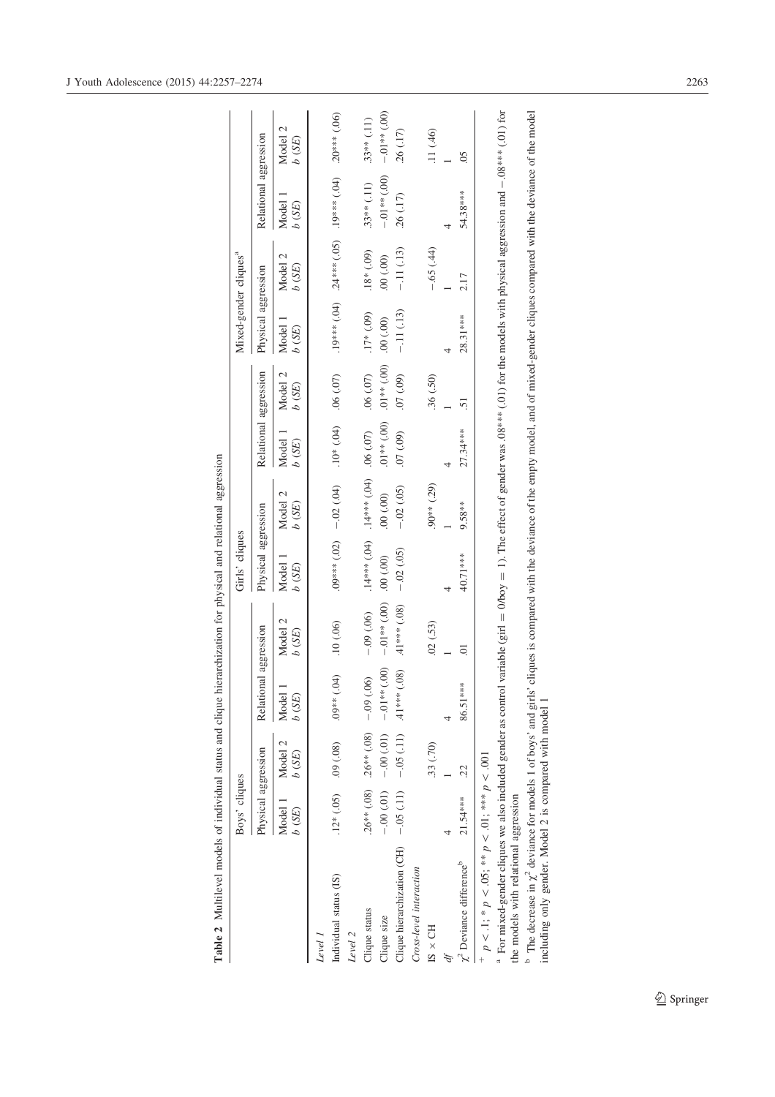|                                                                                                                                                                                                                                                                          | Boys' cliques          |                                            |                                        |                  | Girls' cliques      |                     |                       |                  | Mixed-gender cliques <sup>a</sup> |                                             |                       |                       |
|--------------------------------------------------------------------------------------------------------------------------------------------------------------------------------------------------------------------------------------------------------------------------|------------------------|--------------------------------------------|----------------------------------------|------------------|---------------------|---------------------|-----------------------|------------------|-----------------------------------|---------------------------------------------|-----------------------|-----------------------|
|                                                                                                                                                                                                                                                                          | Physical aggression    |                                            | Relational aggression                  |                  | Physical aggression |                     | Relational aggression |                  | Physical aggression               |                                             | Relational aggression |                       |
|                                                                                                                                                                                                                                                                          | Model 1<br>b(SE)       | Model 2<br>b(SE)                           | Model<br>$b$ $\left( \text{SE}\right)$ | Model 2<br>b(SE) | Model 1<br>b(SE)    | Model 2<br>$b$ (SE) | Model 1<br>$b$ (SE)   | Model 2<br>b(SE) | Model 1<br>b(SE)                  | Model 2<br>b(SE)                            | Model.<br>b(SE)       | Model 2<br>b(SE)      |
| Level 1                                                                                                                                                                                                                                                                  |                        |                                            |                                        |                  |                     |                     |                       |                  |                                   |                                             |                       |                       |
| Individual status (IS)                                                                                                                                                                                                                                                   | $.12*(.05)$ $.09(.08)$ |                                            | (50)<br>$.9^{**}$                      | .10(0.06)        | $.09***(.02)$       | $-.02(.04)$         | $(10^* (0.04))$       | (0.0, 0.07)      |                                   | $(40)$ **** 0.1 (50) **** $47$ (40) *** 6.1 |                       | $.20***$ (.06)        |
| Level 2                                                                                                                                                                                                                                                                  |                        |                                            |                                        |                  |                     |                     |                       |                  |                                   |                                             |                       |                       |
| Clique status                                                                                                                                                                                                                                                            |                        | $.26***$ (.08) $.26***$ (.08) $-.09$ (.06) |                                        | $-0.09$ (.06)    | $.14***$ $(.04)$    | $(10.000, 0.04)$ .  |                       | (0.07)           | $.17*(.09)$                       | $(00)$ *81.                                 | $.33**$ (.11)         | $.33***(11)$          |
| Clique size                                                                                                                                                                                                                                                              |                        | $-0.00(-0.01)$ $-0.00(-0.01)$              | $-0.00(-)$                             | $-0.01**$ (.00)  | (00, 00)            | (00, 00)            | $.01**$ (.00)         | $00$ , ** $(00)$ | (00, 00.                          | (00, 00.                                    | $-0.01**$ (.00)       | $-0.00$<br>$(+ 10.4)$ |
| Clique hierarchization (CH) $-0.05$ (.11)                                                                                                                                                                                                                                |                        | $-0.05(11)$                                | (.08)<br>$.41***$                      | $.41***$ (.08)   | $-.02$ $(.05)$      | $-.02(.05)$         | $(60)$ $10$ .         | $(60')$ $10'$ .  | $-11(13)$                         | $-11(13)$                                   | .26(.17)              | $-26$ $(.17)$         |
| Cross-level interaction                                                                                                                                                                                                                                                  |                        |                                            |                                        |                  |                     |                     |                       |                  |                                   |                                             |                       |                       |
| $IS \times CH$                                                                                                                                                                                                                                                           |                        | .33 (.70)                                  |                                        | .02(0.53)        |                     | .90** (.29)         |                       | .36(.50)         |                                   | $-0.65(44)$                                 |                       | .11 (.46)             |
|                                                                                                                                                                                                                                                                          |                        |                                            |                                        |                  |                     |                     |                       |                  |                                   |                                             |                       |                       |
| $\chi^2$ Deviance difference <sup>b</sup>                                                                                                                                                                                                                                | 21.54****              | 22                                         | 86.51***                               | C.               | 40.71***            | $9.58***$           | 27.34***              | 5                | 28.31 ***                         | 2.17                                        | 54.38***              | $\overline{0}$        |
| + $p < 1$ ; * $p < 0.05$ ; ** $p < 0.01$ ; *** $p < 0.01$                                                                                                                                                                                                                |                        |                                            |                                        |                  |                     |                     |                       |                  |                                   |                                             |                       |                       |
| <sup>a</sup> For mixed-gender cliques we also included gender as control variable (girl = 0/boy = 1). The effect of gender was .08*** (.01) for the models with physical aggression and --.08*** (.01) for<br>the models with relational aggression                      |                        |                                            |                                        |                  |                     |                     |                       |                  |                                   |                                             |                       |                       |
| <sup>h</sup> The decrease in $\chi^2$ deviance for models 1 of boys' and girls' cliques is compared with the deviance of the empty model, and of mixed-gender cliques compared with the deviance of the model<br>including only gender. Model 2 is compared with model 1 |                        |                                            |                                        |                  |                     |                     |                       |                  |                                   |                                             |                       |                       |
|                                                                                                                                                                                                                                                                          |                        |                                            |                                        |                  |                     |                     |                       |                  |                                   |                                             |                       |                       |

Table 2 Multilevel models of individual status and clique hierarchization for physical and relational aggression Table 2 Multilevel models of individual status and clique hierarchization for physical and relational aggression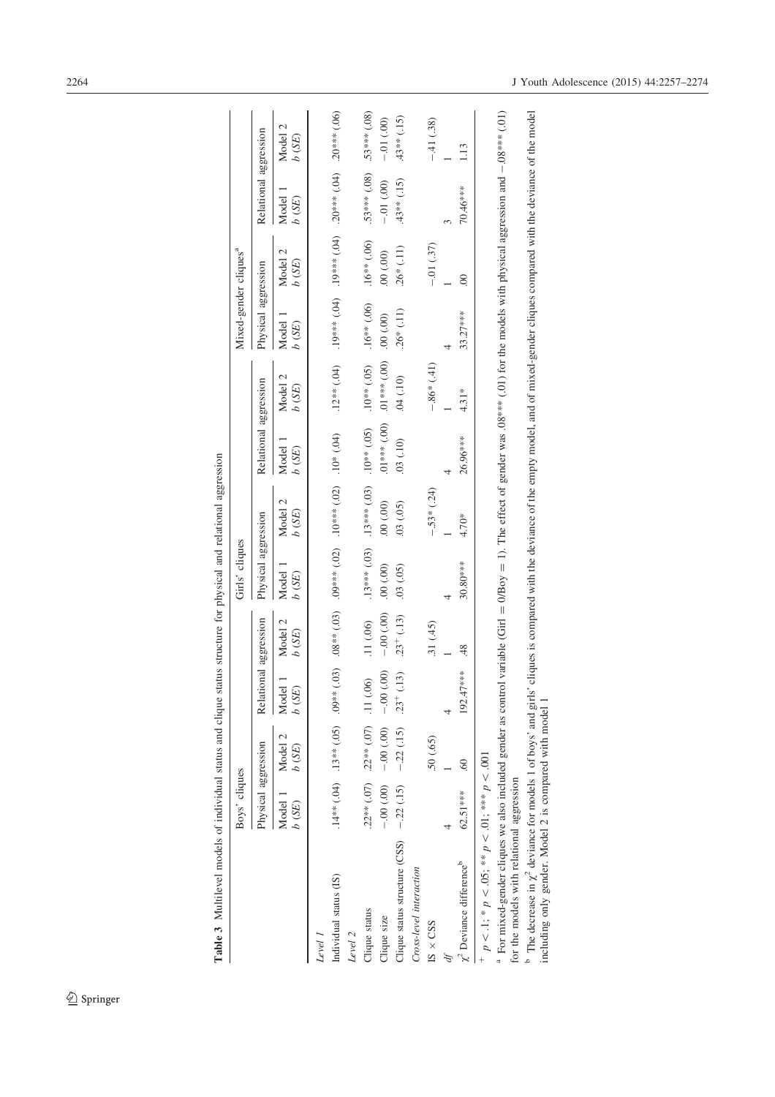|                                                                                                                                                                                                                                                      | Boys' cliques       |                                         |                |                  | Girls' cliques              |                                                                                                    |                       |                                                                                                                               | Mixed-gender cliques <sup>a</sup> |                                                                                                   |                       |                     |
|------------------------------------------------------------------------------------------------------------------------------------------------------------------------------------------------------------------------------------------------------|---------------------|-----------------------------------------|----------------|------------------|-----------------------------|----------------------------------------------------------------------------------------------------|-----------------------|-------------------------------------------------------------------------------------------------------------------------------|-----------------------------------|---------------------------------------------------------------------------------------------------|-----------------------|---------------------|
|                                                                                                                                                                                                                                                      | Physical aggression |                                         | Relati         | ional aggression | Physical aggression         |                                                                                                    | Relational aggression |                                                                                                                               | Physical aggression               |                                                                                                   | Relational aggression |                     |
|                                                                                                                                                                                                                                                      | Model 1<br>b(SE)    | Model 2<br>b(SE)                        | Model<br>b(SE) | Model 2<br>b(SE) | Model <sub>1</sub><br>b(SE) | Model 2<br>b(SE)                                                                                   | Model<br>(SE)         | Model 2<br>(SE)                                                                                                               | Model 1<br>(SE)                   | 2<br>Model<br>(SE)                                                                                | Model<br>b(SE)        | 2<br>Model<br>b(SE) |
| Level 1                                                                                                                                                                                                                                              |                     |                                         |                |                  |                             |                                                                                                    |                       |                                                                                                                               |                                   |                                                                                                   |                       |                     |
| Individual status (IS)                                                                                                                                                                                                                               |                     |                                         |                |                  |                             | (10)* 2011 (20)* * * * 2011 (20)* * * * 601 (601)* * * 801 (601)* * 601 (501)* * 601 (401)* * * 11 |                       | $.12***$ $(.04)$                                                                                                              |                                   | $(\text{to)}$ ***0 $\text{N}$ ; $(\text{to})$ **** $\text{on}$ ; $(\text{to})$ **** $\text{on}$ ; |                       | $.20***$ (.06)      |
| Level 2                                                                                                                                                                                                                                              |                     |                                         |                |                  |                             |                                                                                                    |                       |                                                                                                                               |                                   |                                                                                                   |                       |                     |
| Clique status                                                                                                                                                                                                                                        |                     | $.22***(.07)$ $.22***(.07)$ $.11(.06)$  |                | .11(06)          | $.13***$ (.03)              | $.13***$ $(.03)$                                                                                   | $.10**$ (.05)         | $.10**$ (.05)                                                                                                                 | $.16***$ (.06)                    | $.16***$ (.06)                                                                                    | $.53***(.08)$         | $.53***$ (.08)      |
| Clique size                                                                                                                                                                                                                                          |                     | $-0.00(0.00) - 0.00(0.00) - 0.00(0.00)$ |                | $-0.00(0.00)$    | (00, 00)                    | (00, 00)                                                                                           | $.01***$ (.00)        | $.01***$ (.00)                                                                                                                | (00, 00.                          | (00, 00)                                                                                          | $-.01(000)$           | $-0.000$            |
| Clique status structure (CSS)                                                                                                                                                                                                                        |                     | $-.22(.15)$ $-.22(.15)$ $.23^{+}(.13)$  |                | $.23^{+}$ (.13)  | (0.05)                      | (03)(05)                                                                                           | .03(.10)              | 04(10)                                                                                                                        | $.26*(.11)$                       | $.26*(.11)$                                                                                       | $(43**$ (.15)         | $(15)$ ** (.15)     |
| Cross-level interaction                                                                                                                                                                                                                              |                     |                                         |                |                  |                             |                                                                                                    |                       |                                                                                                                               |                                   |                                                                                                   |                       |                     |
| $IS \times CSS$                                                                                                                                                                                                                                      |                     | (65)                                    |                | .31(45)          |                             | $-.53*(.24)$                                                                                       |                       | $-.86*$ (.41)                                                                                                                 |                                   | $-.01(37)$                                                                                        |                       | $-41(0.38)$         |
| ď                                                                                                                                                                                                                                                    |                     |                                         |                |                  |                             |                                                                                                    |                       |                                                                                                                               |                                   |                                                                                                   |                       |                     |
| $\chi^2$ Deviance difference <sup>b</sup>                                                                                                                                                                                                            | 62.51***            | $\mathcal{S}_{0}$                       | $192.47***$    | $\frac{48}{5}$   | 30.80***                    | 4.70*                                                                                              | 26.96 ***             | $4.31*$                                                                                                                       | $33.27***$                        | $\odot$                                                                                           | 70.46***              | 1.13                |
| + $p < 1$ ; * $p < 0.05$ ; ** $p < 0.01$ ; *** $p < 0.01$                                                                                                                                                                                            |                     |                                         |                |                  |                             |                                                                                                    |                       |                                                                                                                               |                                   |                                                                                                   |                       |                     |
| <sup>th</sup> For mixed-gender cliques we also included gender as control variable (Girl = 0/Boy = 1). The effect of gender was .08*** (.01) for the models with physical aggression and - 0.8*** (.01)<br>for the models with relational aggression |                     |                                         |                |                  |                             |                                                                                                    |                       |                                                                                                                               |                                   |                                                                                                   |                       |                     |
| $\degree$ The decrease in $\chi^2$ deviance for models 1 of boys' and girls'<br>including only gender. Model 2 is compared with model 1                                                                                                              |                     |                                         |                |                  |                             |                                                                                                    |                       | cliques is compared with the deviance of the empty model, and of mixed-gender cliques compared with the deviance of the model |                                   |                                                                                                   |                       |                     |

Table 3 Multilevel models of individual status and clique status structure for physical and relational aggression Table 3 Multilevel models of individual status and clique status structure for physical and relational aggression

 $\underline{\textcircled{\tiny 2}}$  Springer

including only gender. Model 2 is compared with model 1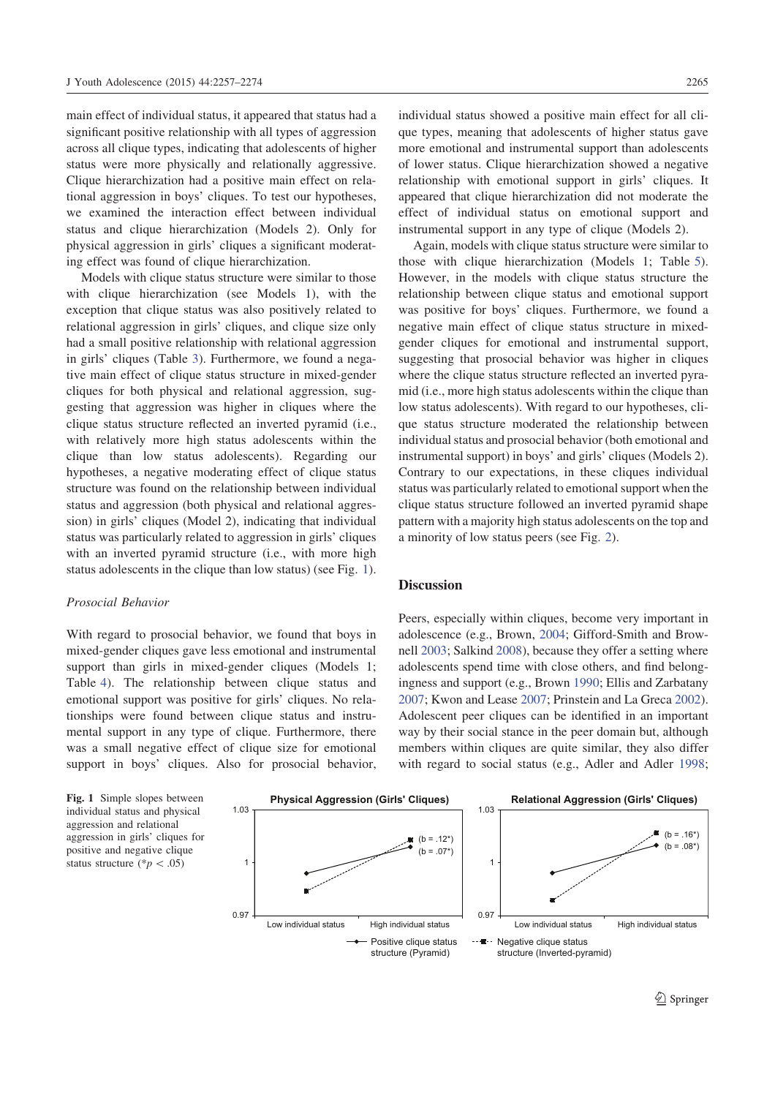main effect of individual status, it appeared that status had a significant positive relationship with all types of aggression across all clique types, indicating that adolescents of higher status were more physically and relationally aggressive. Clique hierarchization had a positive main effect on relational aggression in boys' cliques. To test our hypotheses, we examined the interaction effect between individual status and clique hierarchization (Models 2). Only for physical aggression in girls' cliques a significant moderating effect was found of clique hierarchization.

Models with clique status structure were similar to those with clique hierarchization (see Models 1), with the exception that clique status was also positively related to relational aggression in girls' cliques, and clique size only had a small positive relationship with relational aggression in girls' cliques (Table 3). Furthermore, we found a negative main effect of clique status structure in mixed-gender cliques for both physical and relational aggression, suggesting that aggression was higher in cliques where the clique status structure reflected an inverted pyramid (i.e., with relatively more high status adolescents within the clique than low status adolescents). Regarding our hypotheses, a negative moderating effect of clique status structure was found on the relationship between individual status and aggression (both physical and relational aggression) in girls' cliques (Model 2), indicating that individual status was particularly related to aggression in girls' cliques with an inverted pyramid structure (i.e., with more high status adolescents in the clique than low status) (see Fig. 1).

#### Prosocial Behavior

With regard to prosocial behavior, we found that boys in mixed-gender cliques gave less emotional and instrumental support than girls in mixed-gender cliques (Models 1; Table 4). The relationship between clique status and emotional support was positive for girls' cliques. No relationships were found between clique status and instrumental support in any type of clique. Furthermore, there was a small negative effect of clique size for emotional support in boys' cliques. Also for prosocial behavior, individual status showed a positive main effect for all clique types, meaning that adolescents of higher status gave more emotional and instrumental support than adolescents of lower status. Clique hierarchization showed a negative relationship with emotional support in girls' cliques. It appeared that clique hierarchization did not moderate the effect of individual status on emotional support and instrumental support in any type of clique (Models 2).

Again, models with clique status structure were similar to those with clique hierarchization (Models 1; Table 5). However, in the models with clique status structure the relationship between clique status and emotional support was positive for boys' cliques. Furthermore, we found a negative main effect of clique status structure in mixedgender cliques for emotional and instrumental support, suggesting that prosocial behavior was higher in cliques where the clique status structure reflected an inverted pyramid (i.e., more high status adolescents within the clique than low status adolescents). With regard to our hypotheses, clique status structure moderated the relationship between individual status and prosocial behavior (both emotional and instrumental support) in boys' and girls' cliques (Models 2). Contrary to our expectations, in these cliques individual status was particularly related to emotional support when the clique status structure followed an inverted pyramid shape pattern with a majority high status adolescents on the top and a minority of low status peers (see Fig. 2).

## **Discussion**

Peers, especially within cliques, become very important in adolescence (e.g., Brown, 2004; Gifford-Smith and Brownell 2003; Salkind 2008), because they offer a setting where adolescents spend time with close others, and find belongingness and support (e.g., Brown 1990; Ellis and Zarbatany 2007; Kwon and Lease 2007; Prinstein and La Greca 2002). Adolescent peer cliques can be identified in an important way by their social stance in the peer domain but, although members within cliques are quite similar, they also differ with regard to social status (e.g., Adler and Adler 1998;

Fig. 1 Simple slopes between individual status and physical aggression and relational aggression in girls' cliques for positive and negative clique status structure (\* $p$  < .05)

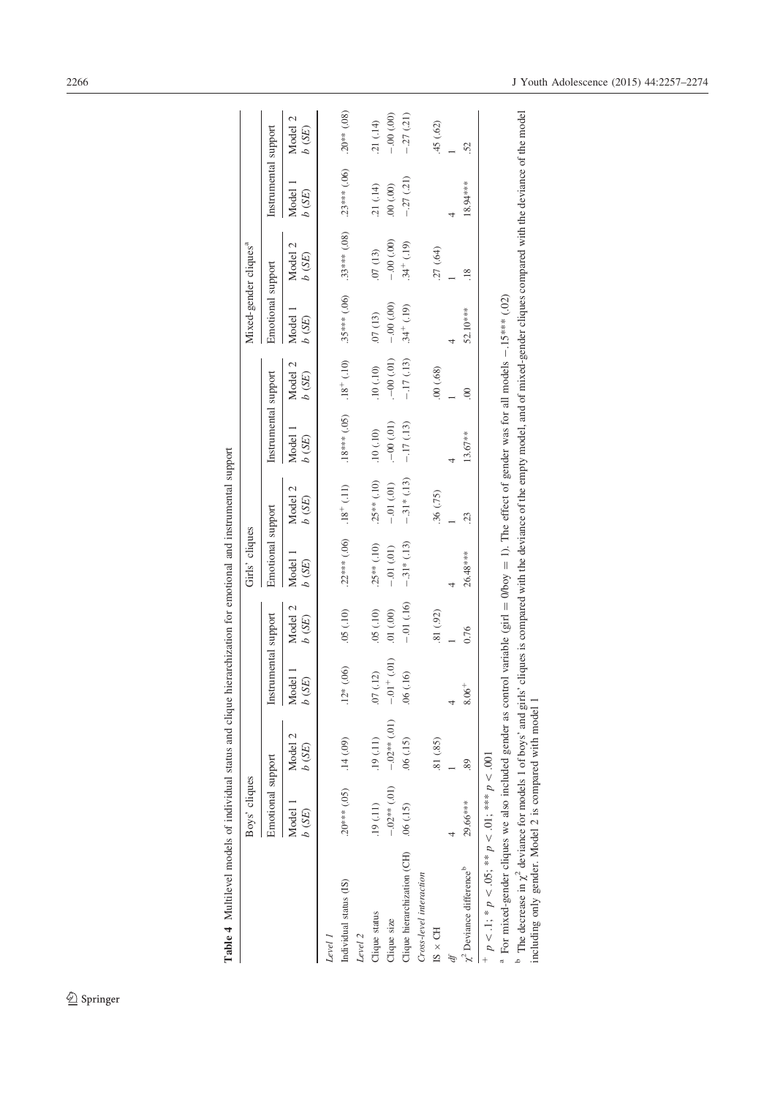|                                                                                                                                                                         | Boys' cliques                       |                  |                        |                  | Girls' cliques                 |                  |                                                                                                                               |                  | Mixed-gender cliques <sup>a</sup> |                          |                      |                  |
|-------------------------------------------------------------------------------------------------------------------------------------------------------------------------|-------------------------------------|------------------|------------------------|------------------|--------------------------------|------------------|-------------------------------------------------------------------------------------------------------------------------------|------------------|-----------------------------------|--------------------------|----------------------|------------------|
|                                                                                                                                                                         | Emotional support                   |                  | Instrumental support   |                  | Emotional support              |                  | Instrumental support                                                                                                          |                  | Emotional support                 |                          | Instrumental support |                  |
|                                                                                                                                                                         | Model 1<br>b(SE)                    | Model 2<br>b(SE) | Model<br>b(SE)         | Model 2<br>b(SE) | Model<br>b(SE)                 | Model 2<br>b(SE) | Model<br>b(SE)                                                                                                                | Model 2<br>b(SE) | Model<br>b(SE)                    | Model 2<br>$\delta$ (SE) | Model<br>b(SE)       | Model 2<br>b(SE) |
| Level 1                                                                                                                                                                 |                                     |                  |                        |                  |                                |                  |                                                                                                                               |                  |                                   |                          |                      |                  |
| Individual status (IS)                                                                                                                                                  | $(0.014 \times 10^{-14})$ .14 (.09) |                  | (00)<br>$.12*$         | .05(10)          | $.22***$ (.06) $.18^{+}$ (.11) |                  | $(01, 18***$ (.05) $18 + (10)$                                                                                                |                  | $.35***$ (.06)                    | $.33***$ (.08)           | $.23***(.06)$        | $.20***$ $(.08)$ |
| Level 2                                                                                                                                                                 |                                     |                  |                        |                  |                                |                  |                                                                                                                               |                  |                                   |                          |                      |                  |
| Clique status                                                                                                                                                           | .19(.11)                            | .19(.11)         | (12)<br>$\overline{C}$ | (01, 05)         | $.25**$ (.10)                  | $.25**$ (.10)    | .10(0.10)                                                                                                                     | .10(.10)         | .07(13)                           | .07(13)                  | .21( .14)            | 21 (.14)         |
| Clique size                                                                                                                                                             | $-.02**$ (.01)                      | $-0.02**$ (.01)  | $-.01 + (.01)$         | $(00)$ $10$ .    | $-0.01(0.01)$                  | $-0.01(01)$      | $(-00)(01)$                                                                                                                   | $(-00)(01)$      | $-0.00(0.00)$                     | $-0.00(0.00)$            | (00, 00.             | $-0.00(0.00)$    |
| Clique hierarchization (CH)                                                                                                                                             | .06(.15)                            | .06(.15)         | .06(.16)               | $-01(16)$        | $-.31*(.13)$                   | $-.31*(.13)$     | $-.17(13)$                                                                                                                    | $-.17(13)$       | $.34^{+}$ (.19)                   | $.34^{+}$ (.19)          | $-.27(.21)$          | $-27(21)$        |
| Cross-level interaction                                                                                                                                                 |                                     |                  |                        |                  |                                |                  |                                                                                                                               |                  |                                   |                          |                      |                  |
| $IS \times CH$                                                                                                                                                          |                                     | .81 (.85)        |                        | .81 (.92)        |                                | .36(.75)         |                                                                                                                               | .00(.68)         |                                   | .27(.64)                 |                      | .45 (.62)        |
|                                                                                                                                                                         |                                     |                  |                        |                  |                                |                  |                                                                                                                               |                  |                                   |                          |                      |                  |
| $\chi^2$ Deviance difference <sup>b</sup>                                                                                                                               | 29.66***                            | 89               | 8.06                   | 0.76             | 26.48***                       | 23               | 13.67**                                                                                                                       | $\infty$         | 52.10***                          | $\frac{8}{18}$           | 18.94***             | 52               |
| + $p < 1$ ; * $p < 0.5$ ; ** $p < 0.1$ ; *** $p < 0.01$                                                                                                                 |                                     |                  |                        |                  |                                |                  |                                                                                                                               |                  |                                   |                          |                      |                  |
| <sup>a</sup> For mixed-gender cliques we also included gender as control variable (girl = 0/boy = 1). The effect of gender was for all models -1.5 <sup>***</sup> (.02) |                                     |                  |                        |                  |                                |                  |                                                                                                                               |                  |                                   |                          |                      |                  |
| <sup>b</sup> The decrease in $\chi^2$ deviance for models 1 of boys' and girls'<br>including only gender. Model 2 is compared with model 1                              |                                     |                  |                        |                  |                                |                  | cliques is compared with the deviance of the empty model, and of mixed-gender cliques compared with the deviance of the model |                  |                                   |                          |                      |                  |

including only gender. Model 2 is compared with model 1

Table 4 Multilevel models of individual status and clique hierarchization for emotional and instrumental support Table 4 Multilevel models of individual status and clique hierarchization for emotional and instrumental support

 $\underline{\textcircled{\tiny 2}}$  Springer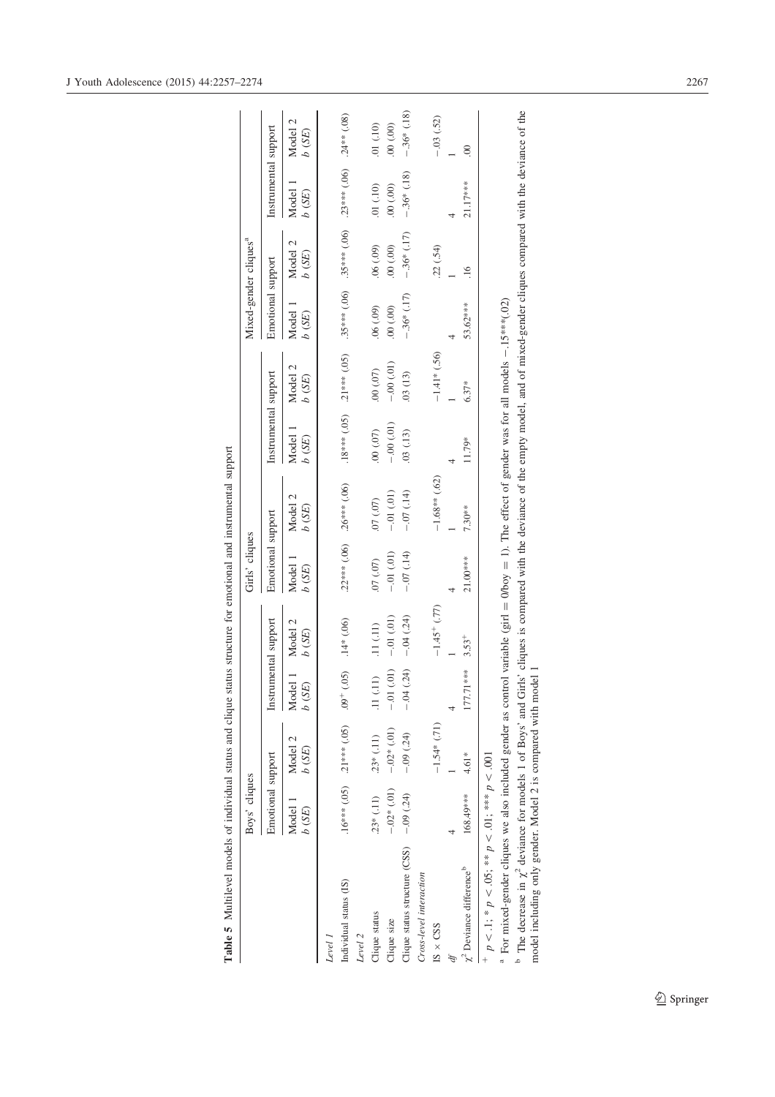|                                                                                                                                                                                            | Boys' cliques     |                                          |                      |                  | Girls' cliques    |                  |                      |                     | Mixed-gender cliques <sup>a</sup> |                  |                      |                  |
|--------------------------------------------------------------------------------------------------------------------------------------------------------------------------------------------|-------------------|------------------------------------------|----------------------|------------------|-------------------|------------------|----------------------|---------------------|-----------------------------------|------------------|----------------------|------------------|
|                                                                                                                                                                                            | Emotional support |                                          | Instrumental support |                  | Emotional support |                  | Instrumental support |                     | Emotional support                 |                  | Instrumental support |                  |
|                                                                                                                                                                                            | Model 1<br>b(SE)  | Model 2<br>$b$ $\left( \text{SE}\right)$ | Model 1<br>b(SE)     | Model 2<br>b(SE) | Model<br>b(SE)    | Model 2<br>b(SE) | Model<br>b(SE)       | Model 2<br>$b$ (SE) | Model<br>b(SE)                    | Model 2<br>b(SE) | Model<br>b(SE)       | Model 2<br>b(SE) |
| Level.                                                                                                                                                                                     |                   |                                          |                      |                  |                   |                  |                      |                     |                                   |                  |                      |                  |
| Individual status (IS)<br>Level 2                                                                                                                                                          |                   | $.16***(.05)$ $.21***(.05)$ $.05$        | (0.05)               | $.14*(.06)$      | $.22***(.06)$     | $.26***$ (.06)   | $.18***(.05)$        | $.21***(.05)$       | $.35***$ (.06)                    | $.35***$ (.06)   | $.23***(.06)$        | $.24**$ (.08)    |
|                                                                                                                                                                                            |                   |                                          |                      |                  |                   |                  |                      |                     |                                   |                  |                      |                  |
| Clique status                                                                                                                                                                              | $.23*(.11)$       | $.23*(.11)$                              | .11(.11)             | (11)(11)         | (0.07, 0.07)      | (0.07, 0.07)     | (00, 00)             | (00, 00)            | (60, 06)                          | $(60)$ $90$ .    | .01( .10)            | (01)(10)         |
| Clique size                                                                                                                                                                                | $-0.02*(0.01)$    | $-.02*(.01)$                             | (01)<br>$-0.1$       | $-0.01(01)$      | $-0.01(0.1)$      | $-0.01(01)$      | $-0.00(01)$          | $-0.00(01)$         | (00, 00)                          | (00, 00)         | (00, 00)             | (00, 00)         |
| Clique status structure (CSS) $-0.09$ (.24)                                                                                                                                                |                   | $-.09(24)$                               | (.24)<br>$-0.4$      | $-.04(.24)$      | $-0.07(14)$       | $-0.07(14)$      | .03(.13)             | 03(13)              | $-.36*(.17)$                      | $-.36*(.17)$     | $-.36*(.18)$         | $-.36*$ (.18)    |
| Cross-level interaction                                                                                                                                                                    |                   |                                          |                      |                  |                   |                  |                      |                     |                                   |                  |                      |                  |
| $ISS \times CSS$                                                                                                                                                                           |                   | $-1.54*(.71)$                            |                      | $-1.45+$ (.77)   |                   | $-1.68**$ (.62)  |                      | $-1.41*(.56)$       |                                   | .22(.54)         |                      | $-.03(.52)$      |
|                                                                                                                                                                                            |                   |                                          |                      |                  |                   |                  |                      |                     |                                   |                  |                      |                  |
| $\chi^2$ Deviance difference <sup>b</sup>                                                                                                                                                  | 168.49***         | $4.61*$                                  | 177.71***            | $3.53^{+}$       | 21.00***          | 7.30**           | 11.79*               | $6.37*$             | 53.62***                          | $\frac{6}{1}$    | 21.17***             | $\odot$          |
| $p < 1$ ; * $p < .05$ ; ** $p < .01$ ; *** $p < .001$                                                                                                                                      |                   |                                          |                      |                  |                   |                  |                      |                     |                                   |                  |                      |                  |
| For mixed-gender cliques we also included gender as control variable (girl = 0/boy = 1). The effect of gender was for all models $-15^{***}(02)$                                           |                   |                                          |                      |                  |                   |                  |                      |                     |                                   |                  |                      |                  |
| The decrease in $\chi^2$ deviance for models 1 of Boys' and Girls' cliques is compared with the deviance of the empty model, and of mixed-gender cliques compared with the deviance of the |                   |                                          |                      |                  |                   |                  |                      |                     |                                   |                  |                      |                  |
| model including only gender. Model 2 is compared with model                                                                                                                                |                   |                                          |                      |                  |                   |                  |                      |                     |                                   |                  |                      |                  |

Table 5 Multilevel models of individual status and clique status structure for emotional and instrumental support Table 5 Multilevel models of individual status and clique status structure for emotional and instrumental support

 $\underline{\textcircled{\tiny 2}}$  Springer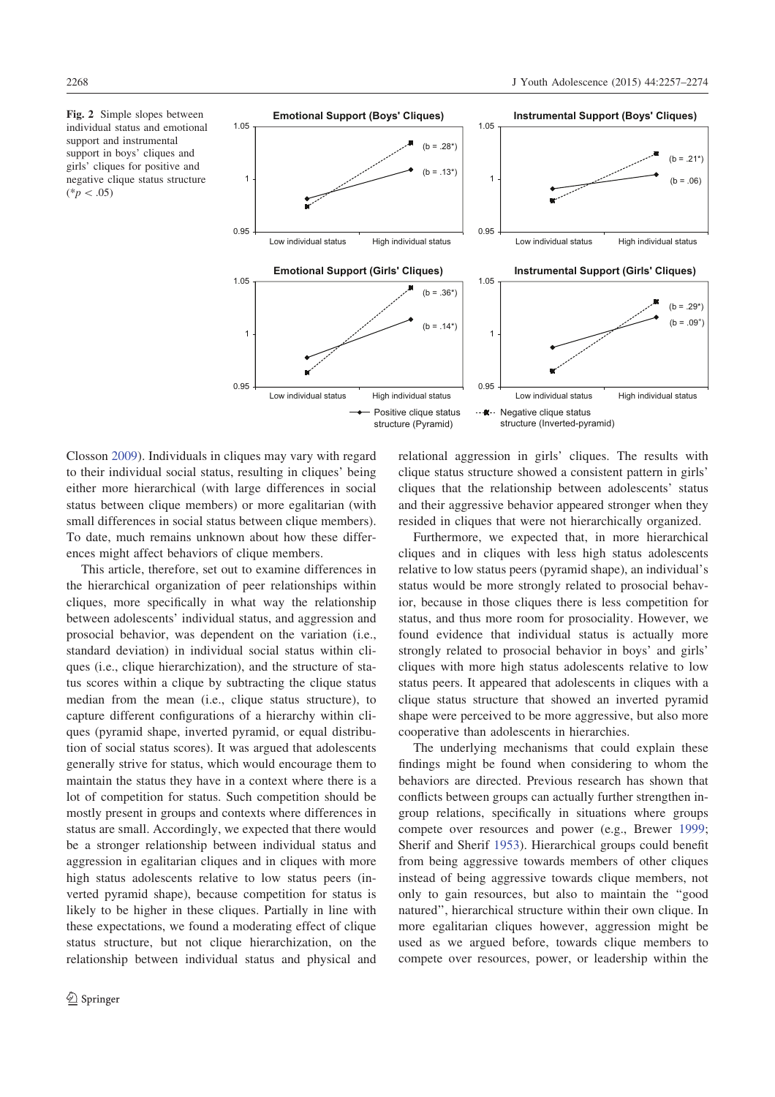

Closson 2009). Individuals in cliques may vary with regard to their individual social status, resulting in cliques' being either more hierarchical (with large differences in social status between clique members) or more egalitarian (with small differences in social status between clique members). To date, much remains unknown about how these differences might affect behaviors of clique members.

This article, therefore, set out to examine differences in the hierarchical organization of peer relationships within cliques, more specifically in what way the relationship between adolescents' individual status, and aggression and prosocial behavior, was dependent on the variation (i.e., standard deviation) in individual social status within cliques (i.e., clique hierarchization), and the structure of status scores within a clique by subtracting the clique status median from the mean (i.e., clique status structure), to capture different configurations of a hierarchy within cliques (pyramid shape, inverted pyramid, or equal distribution of social status scores). It was argued that adolescents generally strive for status, which would encourage them to maintain the status they have in a context where there is a lot of competition for status. Such competition should be mostly present in groups and contexts where differences in status are small. Accordingly, we expected that there would be a stronger relationship between individual status and aggression in egalitarian cliques and in cliques with more high status adolescents relative to low status peers (inverted pyramid shape), because competition for status is likely to be higher in these cliques. Partially in line with these expectations, we found a moderating effect of clique status structure, but not clique hierarchization, on the relationship between individual status and physical and relational aggression in girls' cliques. The results with clique status structure showed a consistent pattern in girls' cliques that the relationship between adolescents' status and their aggressive behavior appeared stronger when they resided in cliques that were not hierarchically organized.

Furthermore, we expected that, in more hierarchical cliques and in cliques with less high status adolescents relative to low status peers (pyramid shape), an individual's status would be more strongly related to prosocial behavior, because in those cliques there is less competition for status, and thus more room for prosociality. However, we found evidence that individual status is actually more strongly related to prosocial behavior in boys' and girls' cliques with more high status adolescents relative to low status peers. It appeared that adolescents in cliques with a clique status structure that showed an inverted pyramid shape were perceived to be more aggressive, but also more cooperative than adolescents in hierarchies.

The underlying mechanisms that could explain these findings might be found when considering to whom the behaviors are directed. Previous research has shown that conflicts between groups can actually further strengthen ingroup relations, specifically in situations where groups compete over resources and power (e.g., Brewer 1999; Sherif and Sherif 1953). Hierarchical groups could benefit from being aggressive towards members of other cliques instead of being aggressive towards clique members, not only to gain resources, but also to maintain the ''good natured'', hierarchical structure within their own clique. In more egalitarian cliques however, aggression might be used as we argued before, towards clique members to compete over resources, power, or leadership within the

 $(*p<.05)$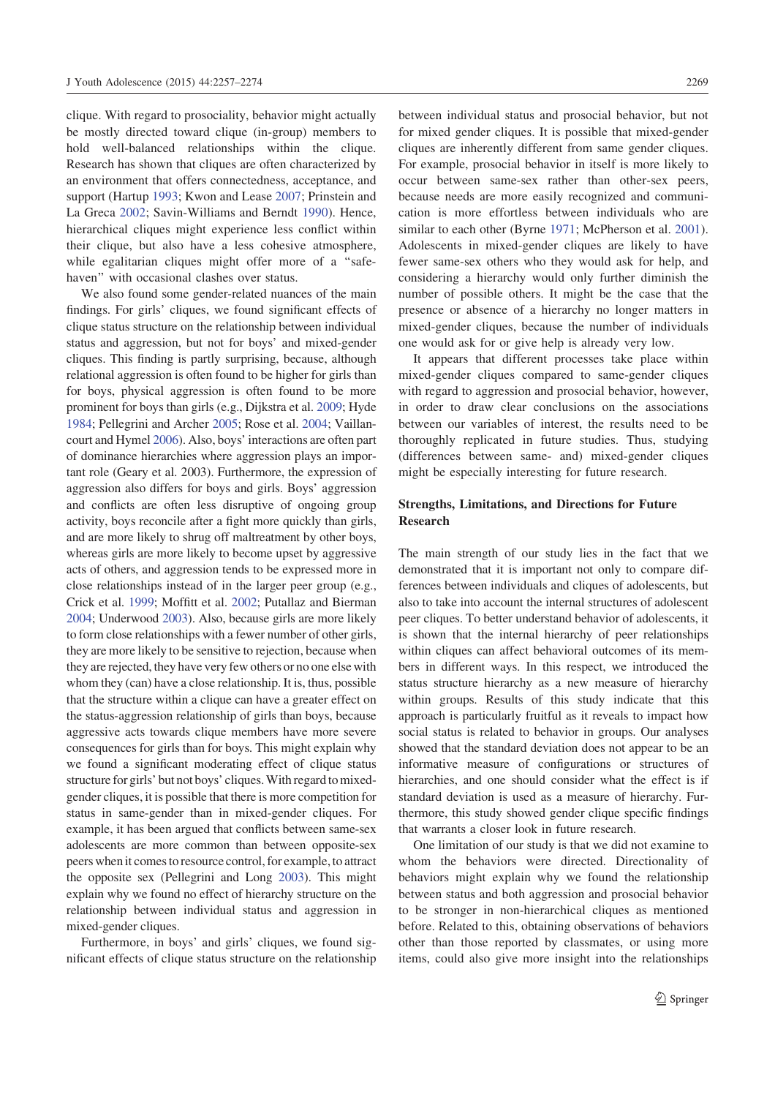clique. With regard to prosociality, behavior might actually be mostly directed toward clique (in-group) members to hold well-balanced relationships within the clique. Research has shown that cliques are often characterized by an environment that offers connectedness, acceptance, and support (Hartup 1993; Kwon and Lease 2007; Prinstein and La Greca 2002; Savin-Williams and Berndt 1990). Hence, hierarchical cliques might experience less conflict within their clique, but also have a less cohesive atmosphere, while egalitarian cliques might offer more of a "safehaven'' with occasional clashes over status.

We also found some gender-related nuances of the main findings. For girls' cliques, we found significant effects of clique status structure on the relationship between individual status and aggression, but not for boys' and mixed-gender cliques. This finding is partly surprising, because, although relational aggression is often found to be higher for girls than for boys, physical aggression is often found to be more prominent for boys than girls (e.g., Dijkstra et al. 2009; Hyde 1984; Pellegrini and Archer 2005; Rose et al. 2004; Vaillancourt and Hymel 2006). Also, boys' interactions are often part of dominance hierarchies where aggression plays an important role (Geary et al. 2003). Furthermore, the expression of aggression also differs for boys and girls. Boys' aggression and conflicts are often less disruptive of ongoing group activity, boys reconcile after a fight more quickly than girls, and are more likely to shrug off maltreatment by other boys, whereas girls are more likely to become upset by aggressive acts of others, and aggression tends to be expressed more in close relationships instead of in the larger peer group (e.g., Crick et al. 1999; Moffitt et al. 2002; Putallaz and Bierman 2004; Underwood 2003). Also, because girls are more likely to form close relationships with a fewer number of other girls, they are more likely to be sensitive to rejection, because when they are rejected, they have very few others or no one else with whom they (can) have a close relationship. It is, thus, possible that the structure within a clique can have a greater effect on the status-aggression relationship of girls than boys, because aggressive acts towards clique members have more severe consequences for girls than for boys. This might explain why we found a significant moderating effect of clique status structure for girls' but not boys' cliques. With regard to mixedgender cliques, it is possible that there is more competition for status in same-gender than in mixed-gender cliques. For example, it has been argued that conflicts between same-sex adolescents are more common than between opposite-sex peers when it comes to resource control, for example, to attract the opposite sex (Pellegrini and Long 2003). This might explain why we found no effect of hierarchy structure on the relationship between individual status and aggression in mixed-gender cliques.

Furthermore, in boys' and girls' cliques, we found significant effects of clique status structure on the relationship between individual status and prosocial behavior, but not for mixed gender cliques. It is possible that mixed-gender cliques are inherently different from same gender cliques. For example, prosocial behavior in itself is more likely to occur between same-sex rather than other-sex peers, because needs are more easily recognized and communication is more effortless between individuals who are similar to each other (Byrne 1971; McPherson et al. 2001). Adolescents in mixed-gender cliques are likely to have fewer same-sex others who they would ask for help, and considering a hierarchy would only further diminish the number of possible others. It might be the case that the presence or absence of a hierarchy no longer matters in mixed-gender cliques, because the number of individuals one would ask for or give help is already very low.

It appears that different processes take place within mixed-gender cliques compared to same-gender cliques with regard to aggression and prosocial behavior, however, in order to draw clear conclusions on the associations between our variables of interest, the results need to be thoroughly replicated in future studies. Thus, studying (differences between same- and) mixed-gender cliques might be especially interesting for future research.

## Strengths, Limitations, and Directions for Future Research

The main strength of our study lies in the fact that we demonstrated that it is important not only to compare differences between individuals and cliques of adolescents, but also to take into account the internal structures of adolescent peer cliques. To better understand behavior of adolescents, it is shown that the internal hierarchy of peer relationships within cliques can affect behavioral outcomes of its members in different ways. In this respect, we introduced the status structure hierarchy as a new measure of hierarchy within groups. Results of this study indicate that this approach is particularly fruitful as it reveals to impact how social status is related to behavior in groups. Our analyses showed that the standard deviation does not appear to be an informative measure of configurations or structures of hierarchies, and one should consider what the effect is if standard deviation is used as a measure of hierarchy. Furthermore, this study showed gender clique specific findings that warrants a closer look in future research.

One limitation of our study is that we did not examine to whom the behaviors were directed. Directionality of behaviors might explain why we found the relationship between status and both aggression and prosocial behavior to be stronger in non-hierarchical cliques as mentioned before. Related to this, obtaining observations of behaviors other than those reported by classmates, or using more items, could also give more insight into the relationships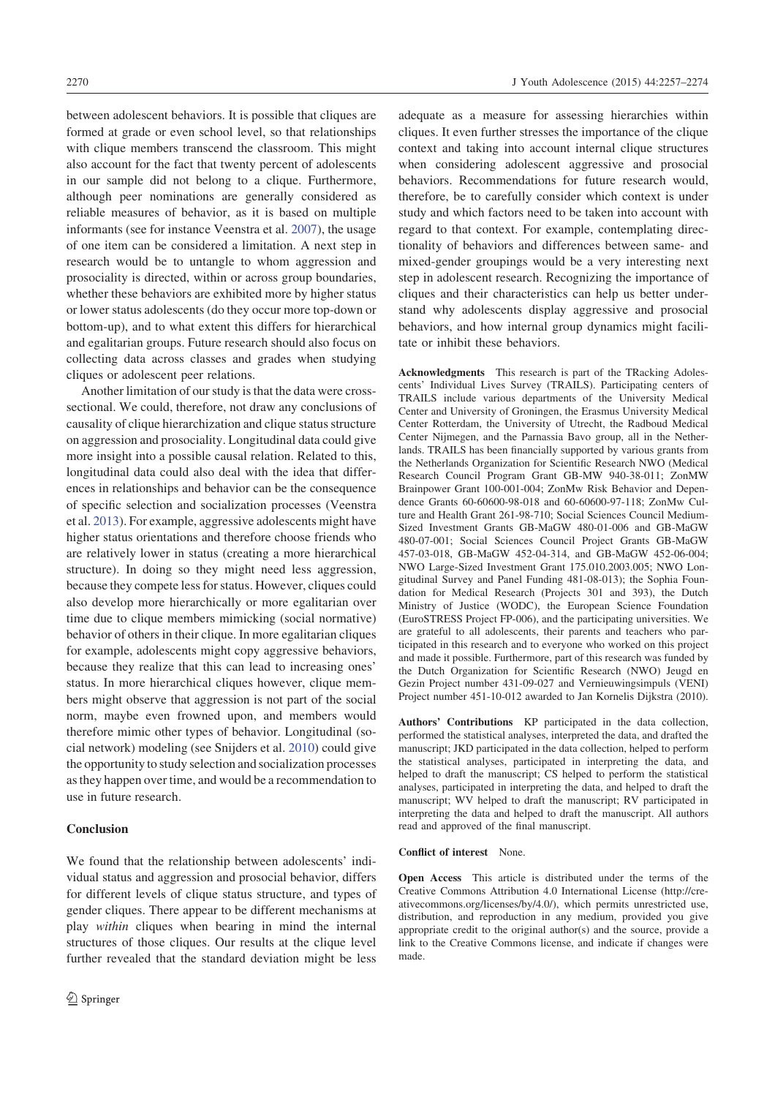between adolescent behaviors. It is possible that cliques are formed at grade or even school level, so that relationships with clique members transcend the classroom. This might also account for the fact that twenty percent of adolescents in our sample did not belong to a clique. Furthermore, although peer nominations are generally considered as reliable measures of behavior, as it is based on multiple informants (see for instance Veenstra et al. 2007), the usage of one item can be considered a limitation. A next step in research would be to untangle to whom aggression and prosociality is directed, within or across group boundaries, whether these behaviors are exhibited more by higher status

or lower status adolescents (do they occur more top-down or bottom-up), and to what extent this differs for hierarchical and egalitarian groups. Future research should also focus on collecting data across classes and grades when studying cliques or adolescent peer relations.

Another limitation of our study is that the data were crosssectional. We could, therefore, not draw any conclusions of causality of clique hierarchization and clique status structure on aggression and prosociality. Longitudinal data could give more insight into a possible causal relation. Related to this, longitudinal data could also deal with the idea that differences in relationships and behavior can be the consequence of specific selection and socialization processes (Veenstra et al. 2013). For example, aggressive adolescents might have higher status orientations and therefore choose friends who are relatively lower in status (creating a more hierarchical structure). In doing so they might need less aggression, because they compete less for status. However, cliques could also develop more hierarchically or more egalitarian over time due to clique members mimicking (social normative) behavior of others in their clique. In more egalitarian cliques for example, adolescents might copy aggressive behaviors, because they realize that this can lead to increasing ones' status. In more hierarchical cliques however, clique members might observe that aggression is not part of the social norm, maybe even frowned upon, and members would therefore mimic other types of behavior. Longitudinal (social network) modeling (see Snijders et al. 2010) could give the opportunity to study selection and socialization processes as they happen over time, and would be a recommendation to use in future research.

#### **Conclusion**

We found that the relationship between adolescents' individual status and aggression and prosocial behavior, differs for different levels of clique status structure, and types of gender cliques. There appear to be different mechanisms at play within cliques when bearing in mind the internal structures of those cliques. Our results at the clique level further revealed that the standard deviation might be less

adequate as a measure for assessing hierarchies within cliques. It even further stresses the importance of the clique context and taking into account internal clique structures when considering adolescent aggressive and prosocial behaviors. Recommendations for future research would, therefore, be to carefully consider which context is under study and which factors need to be taken into account with regard to that context. For example, contemplating directionality of behaviors and differences between same- and mixed-gender groupings would be a very interesting next step in adolescent research. Recognizing the importance of cliques and their characteristics can help us better understand why adolescents display aggressive and prosocial behaviors, and how internal group dynamics might facilitate or inhibit these behaviors.

Acknowledgments This research is part of the TRacking Adolescents' Individual Lives Survey (TRAILS). Participating centers of TRAILS include various departments of the University Medical Center and University of Groningen, the Erasmus University Medical Center Rotterdam, the University of Utrecht, the Radboud Medical Center Nijmegen, and the Parnassia Bavo group, all in the Netherlands. TRAILS has been financially supported by various grants from the Netherlands Organization for Scientific Research NWO (Medical Research Council Program Grant GB-MW 940-38-011; ZonMW Brainpower Grant 100-001-004; ZonMw Risk Behavior and Dependence Grants 60-60600-98-018 and 60-60600-97-118; ZonMw Culture and Health Grant 261-98-710; Social Sciences Council Medium-Sized Investment Grants GB-MaGW 480-01-006 and GB-MaGW 480-07-001; Social Sciences Council Project Grants GB-MaGW 457-03-018, GB-MaGW 452-04-314, and GB-MaGW 452-06-004; NWO Large-Sized Investment Grant 175.010.2003.005; NWO Longitudinal Survey and Panel Funding 481-08-013); the Sophia Foundation for Medical Research (Projects 301 and 393), the Dutch Ministry of Justice (WODC), the European Science Foundation (EuroSTRESS Project FP-006), and the participating universities. We are grateful to all adolescents, their parents and teachers who participated in this research and to everyone who worked on this project and made it possible. Furthermore, part of this research was funded by the Dutch Organization for Scientific Research (NWO) Jeugd en Gezin Project number 431-09-027 and Vernieuwingsimpuls (VENI) Project number 451-10-012 awarded to Jan Kornelis Dijkstra (2010).

Authors' Contributions KP participated in the data collection, performed the statistical analyses, interpreted the data, and drafted the manuscript; JKD participated in the data collection, helped to perform the statistical analyses, participated in interpreting the data, and helped to draft the manuscript; CS helped to perform the statistical analyses, participated in interpreting the data, and helped to draft the manuscript; WV helped to draft the manuscript; RV participated in interpreting the data and helped to draft the manuscript. All authors read and approved of the final manuscript.

#### Conflict of interest None.

Open Access This article is distributed under the terms of the Creative Commons Attribution 4.0 International License (http://creativecommons.org/licenses/by/4.0/), which permits unrestricted use, distribution, and reproduction in any medium, provided you give appropriate credit to the original author(s) and the source, provide a link to the Creative Commons license, and indicate if changes were made.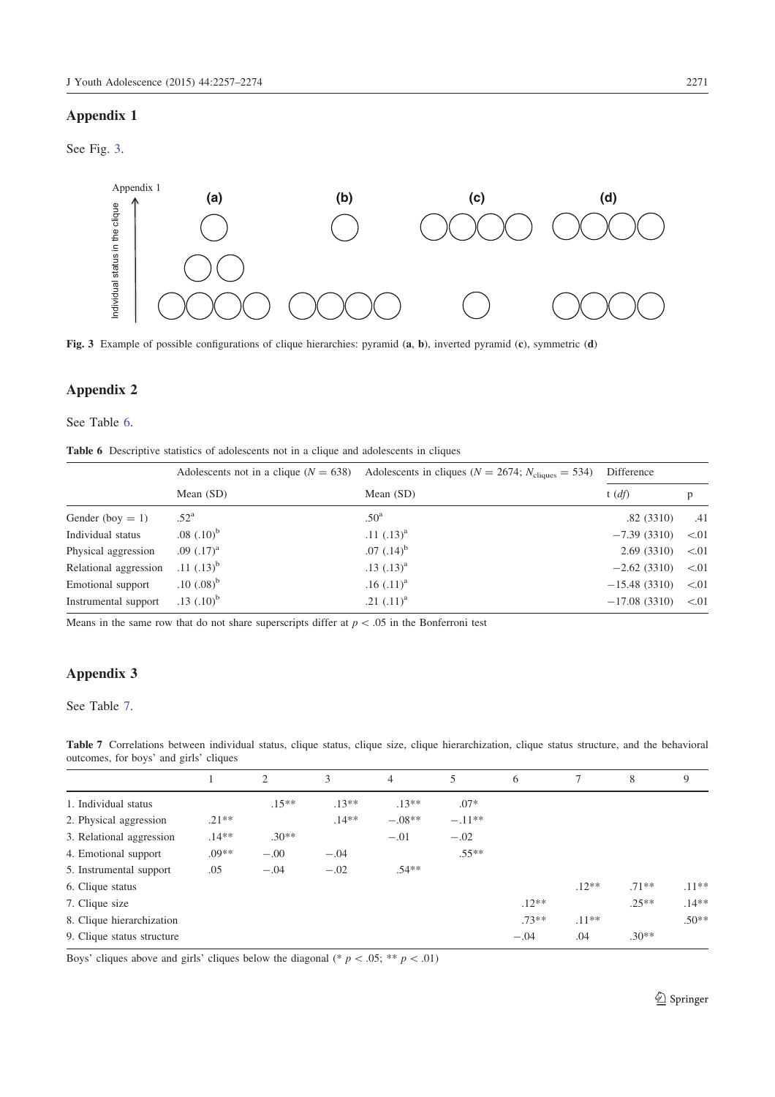# Appendix 1

See Fig. 3.



Fig. 3 Example of possible configurations of clique hierarchies: pyramid (a, b), inverted pyramid (c), symmetric (d)

# Appendix 2

## See Table 6.

|  | <b>Table 6</b> Descriptive statistics of adolescents not in a clique and adolescents in cliques |  |  |  |  |  |  |  |  |
|--|-------------------------------------------------------------------------------------------------|--|--|--|--|--|--|--|--|
|--|-------------------------------------------------------------------------------------------------|--|--|--|--|--|--|--|--|

| Individual status in the clique   |                                                                                                 |                                                                                                                      |                |              |
|-----------------------------------|-------------------------------------------------------------------------------------------------|----------------------------------------------------------------------------------------------------------------------|----------------|--------------|
|                                   |                                                                                                 | Fig. 3 Example of possible configurations of clique hierarchies: pyramid (a, b), inverted pyramid (c), symmetric (d) |                |              |
| <b>Appendix 2</b><br>See Table 6. | Table 6 Descriptive statistics of adolescents not in a clique and adolescents in cliques        |                                                                                                                      |                |              |
|                                   | Adolescents not in a clique ( $N = 638$ )                                                       | Adolescents in cliques ( $N = 2674$ ; $N_{\text{cliques}} = 534$ )                                                   | Difference     |              |
|                                   | Mean (SD)                                                                                       | Mean (SD)                                                                                                            | t(df)          | $\, {\bf p}$ |
| Gender (boy $= 1$ )               | .52 <sup>a</sup>                                                                                | .50 <sup>a</sup>                                                                                                     | .82(3310)      | .41          |
| Individual status                 | $.08$ $(.10)^{b}$                                                                               | .11 $(.13)^{a}$                                                                                                      | $-7.39(3310)$  | < 01         |
| Physical aggression               | .09 $(.17)^{a}$                                                                                 | $.07$ $(.14)^{b}$                                                                                                    | 2.69 (3310)    | < 01         |
| Relational aggression             | .11 $(.13)^{b}$                                                                                 | $.13$ $(.13)^{a}$                                                                                                    | $-2.62(3310)$  | < 01         |
| Emotional support                 | $.10$ $(.08)^{b}$                                                                               | $.16$ $(.11)^{a}$                                                                                                    | $-15.48(3310)$ | < 01         |
| Instrumental support              | $.13$ $(.10)^{b}$                                                                               | .21 $(.11)^{a}$                                                                                                      | $-17.08(3310)$ | < 01         |
|                                   | Means in the same row that do not share superscripts differ at $p < .05$ in the Bonferroni test |                                                                                                                      |                |              |
| <b>Appendix 3</b>                 |                                                                                                 |                                                                                                                      |                |              |
| See Table 7.                      |                                                                                                 |                                                                                                                      |                |              |

# Appendix 3

## See Table 7.

| Table 7 Correlations between individual status, clique status, clique size, clique hierarchization, clique status structure, and the behavioral |  |  |  |  |  |  |  |
|-------------------------------------------------------------------------------------------------------------------------------------------------|--|--|--|--|--|--|--|
| outcomes, for boys' and girls' cliques                                                                                                          |  |  |  |  |  |  |  |

|                            |         | 2       | 3       | 4        | 5        | 6       | 7       | 8       | 9       |
|----------------------------|---------|---------|---------|----------|----------|---------|---------|---------|---------|
| 1. Individual status       |         | $.15**$ | $.13**$ | $.13**$  | $.07*$   |         |         |         |         |
| 2. Physical aggression     | $.21**$ |         | $.14**$ | $-.08**$ | $-.11**$ |         |         |         |         |
| 3. Relational aggression   | $.14**$ | $.30**$ |         | $-.01$   | $-.02$   |         |         |         |         |
| 4. Emotional support       | $.09**$ | $-.00$  | $-.04$  |          | $.55**$  |         |         |         |         |
| 5. Instrumental support    | .05     | $-.04$  | $-.02$  | $.54**$  |          |         |         |         |         |
| 6. Clique status           |         |         |         |          |          |         | $.12**$ | $.71**$ | $.11**$ |
| 7. Clique size             |         |         |         |          |          | $.12**$ |         | $.25**$ | $.14**$ |
| 8. Clique hierarchization  |         |         |         |          |          | $.73**$ | $.11**$ |         | $.50**$ |
| 9. Clique status structure |         |         |         |          |          | $-.04$  | .04     | $.30**$ |         |

Boys' cliques above and girls' cliques below the diagonal (\*  $p < .05;$  \*\*  $p < .01$ )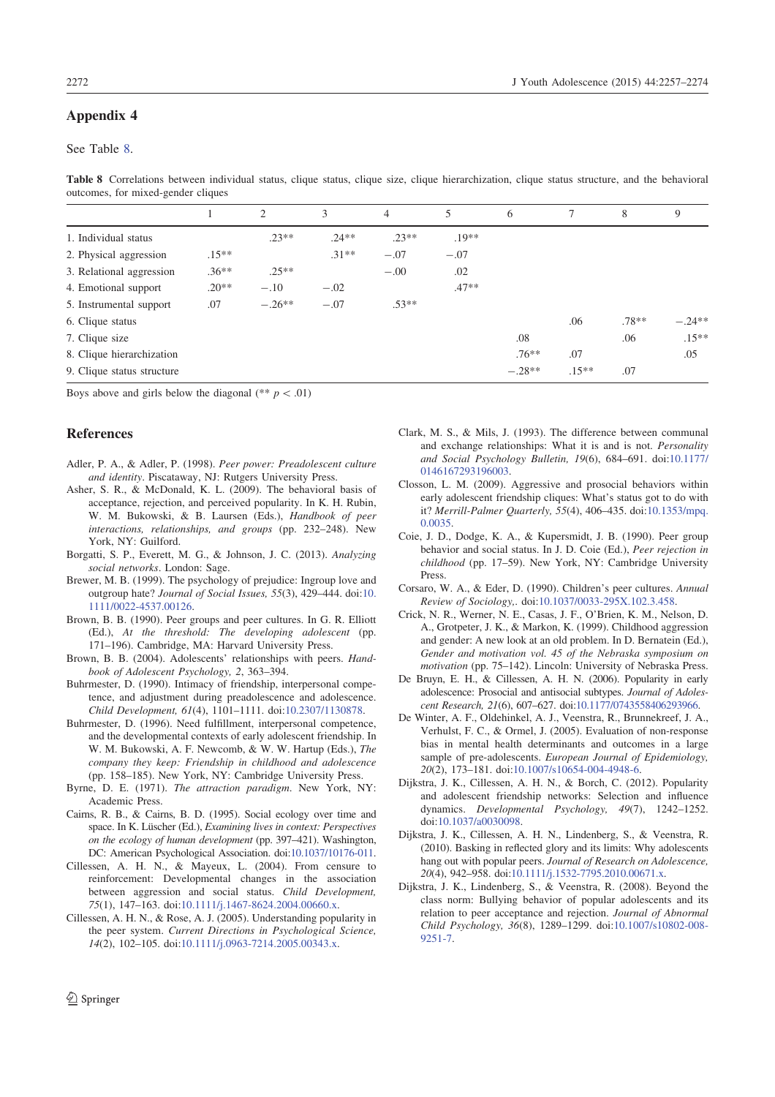## Appendix 4

## See Table 8.

Table 8 Correlations between individual status, clique status, clique size, clique hierarchization, clique status structure, and the behavioral outcomes, for mixed-gender cliques

|                            |         | 2        | 3       | $\overline{4}$ | 5       | 6        |         | 8       | 9        |
|----------------------------|---------|----------|---------|----------------|---------|----------|---------|---------|----------|
| 1. Individual status       |         | $.23**$  | $.24**$ | $.23**$        | $.19**$ |          |         |         |          |
| 2. Physical aggression     | $.15**$ |          | $.31**$ | $-.07$         | $-.07$  |          |         |         |          |
| 3. Relational aggression   | $.36**$ | $.25**$  |         | $-.00$         | .02     |          |         |         |          |
| 4. Emotional support       | $.20**$ | $-.10$   | $-.02$  |                | $.47**$ |          |         |         |          |
| 5. Instrumental support    | .07     | $-.26**$ | $-.07$  | $.53**$        |         |          |         |         |          |
| 6. Clique status           |         |          |         |                |         |          | .06     | $.78**$ | $-.24**$ |
| 7. Clique size             |         |          |         |                |         | .08      |         | .06     | $.15***$ |
| 8. Clique hierarchization  |         |          |         |                |         | $.76***$ | .07     |         | .05      |
| 9. Clique status structure |         |          |         |                |         | $-.28**$ | $.15**$ | .07     |          |

Boys above and girls below the diagonal (\*\*  $p < .01$ )

#### References

- Adler, P. A., & Adler, P. (1998). Peer power: Preadolescent culture and identity. Piscataway, NJ: Rutgers University Press.
- Asher, S. R., & McDonald, K. L. (2009). The behavioral basis of acceptance, rejection, and perceived popularity. In K. H. Rubin, W. M. Bukowski, & B. Laursen (Eds.), Handbook of peer interactions, relationships, and groups (pp. 232–248). New York, NY: Guilford.
- Borgatti, S. P., Everett, M. G., & Johnson, J. C. (2013). Analyzing social networks. London: Sage.
- Brewer, M. B. (1999). The psychology of prejudice: Ingroup love and outgroup hate? Journal of Social Issues, 55(3), 429–444. doi:10. 1111/0022-4537.00126.
- Brown, B. B. (1990). Peer groups and peer cultures. In G. R. Elliott (Ed.), At the threshold: The developing adolescent (pp. 171–196). Cambridge, MA: Harvard University Press.
- Brown, B. B. (2004). Adolescents' relationships with peers. Handbook of Adolescent Psychology, 2, 363–394.
- Buhrmester, D. (1990). Intimacy of friendship, interpersonal competence, and adjustment during preadolescence and adolescence. Child Development, 61(4), 1101–1111. doi:10.2307/1130878.
- Buhrmester, D. (1996). Need fulfillment, interpersonal competence, and the developmental contexts of early adolescent friendship. In W. M. Bukowski, A. F. Newcomb, & W. W. Hartup (Eds.), The company they keep: Friendship in childhood and adolescence (pp. 158–185). New York, NY: Cambridge University Press.
- Byrne, D. E. (1971). The attraction paradigm. New York, NY: Academic Press.
- Cairns, R. B., & Cairns, B. D. (1995). Social ecology over time and space. In K. Lüscher (Ed.), Examining lives in context: Perspectives on the ecology of human development (pp. 397–421). Washington, DC: American Psychological Association. doi:10.1037/10176-011.
- Cillessen, A. H. N., & Mayeux, L. (2004). From censure to reinforcement: Developmental changes in the association between aggression and social status. Child Development, 75(1), 147–163. doi:10.1111/j.1467-8624.2004.00660.x.
- Cillessen, A. H. N., & Rose, A. J. (2005). Understanding popularity in the peer system. Current Directions in Psychological Science, 14(2), 102–105. doi:10.1111/j.0963-7214.2005.00343.x.
- Clark, M. S., & Mils, J. (1993). The difference between communal and exchange relationships: What it is and is not. Personality and Social Psychology Bulletin, 19(6), 684–691. doi:10.1177/ 0146167293196003.
- Closson, L. M. (2009). Aggressive and prosocial behaviors within early adolescent friendship cliques: What's status got to do with it? Merrill-Palmer Quarterly, 55(4), 406–435. doi:10.1353/mpq. 0.0035.
- Coie, J. D., Dodge, K. A., & Kupersmidt, J. B. (1990). Peer group behavior and social status. In J. D. Coie (Ed.), Peer rejection in childhood (pp. 17–59). New York, NY: Cambridge University Press.
- Corsaro, W. A., & Eder, D. (1990). Children's peer cultures. Annual Review of Sociology,. doi:10.1037/0033-295X.102.3.458.
- Crick, N. R., Werner, N. E., Casas, J. F., O'Brien, K. M., Nelson, D. A., Grotpeter, J. K., & Markon, K. (1999). Childhood aggression and gender: A new look at an old problem. In D. Bernatein (Ed.), Gender and motivation vol. 45 of the Nebraska symposium on motivation (pp. 75–142). Lincoln: University of Nebraska Press.
- De Bruyn, E. H., & Cillessen, A. H. N. (2006). Popularity in early adolescence: Prosocial and antisocial subtypes. Journal of Adolescent Research, 21(6), 607–627. doi:10.1177/0743558406293966.
- De Winter, A. F., Oldehinkel, A. J., Veenstra, R., Brunnekreef, J. A., Verhulst, F. C., & Ormel, J. (2005). Evaluation of non-response bias in mental health determinants and outcomes in a large sample of pre-adolescents. European Journal of Epidemiology, 20(2), 173–181. doi:10.1007/s10654-004-4948-6.
- Dijkstra, J. K., Cillessen, A. H. N., & Borch, C. (2012). Popularity and adolescent friendship networks: Selection and influence dynamics. Developmental Psychology, 49(7), 1242–1252. doi:10.1037/a0030098.
- Dijkstra, J. K., Cillessen, A. H. N., Lindenberg, S., & Veenstra, R. (2010). Basking in reflected glory and its limits: Why adolescents hang out with popular peers. Journal of Research on Adolescence, 20(4), 942–958. doi:10.1111/j.1532-7795.2010.00671.x.
- Dijkstra, J. K., Lindenberg, S., & Veenstra, R. (2008). Beyond the class norm: Bullying behavior of popular adolescents and its relation to peer acceptance and rejection. Journal of Abnormal Child Psychology, 36(8), 1289–1299. doi:10.1007/s10802-008- 9251-7.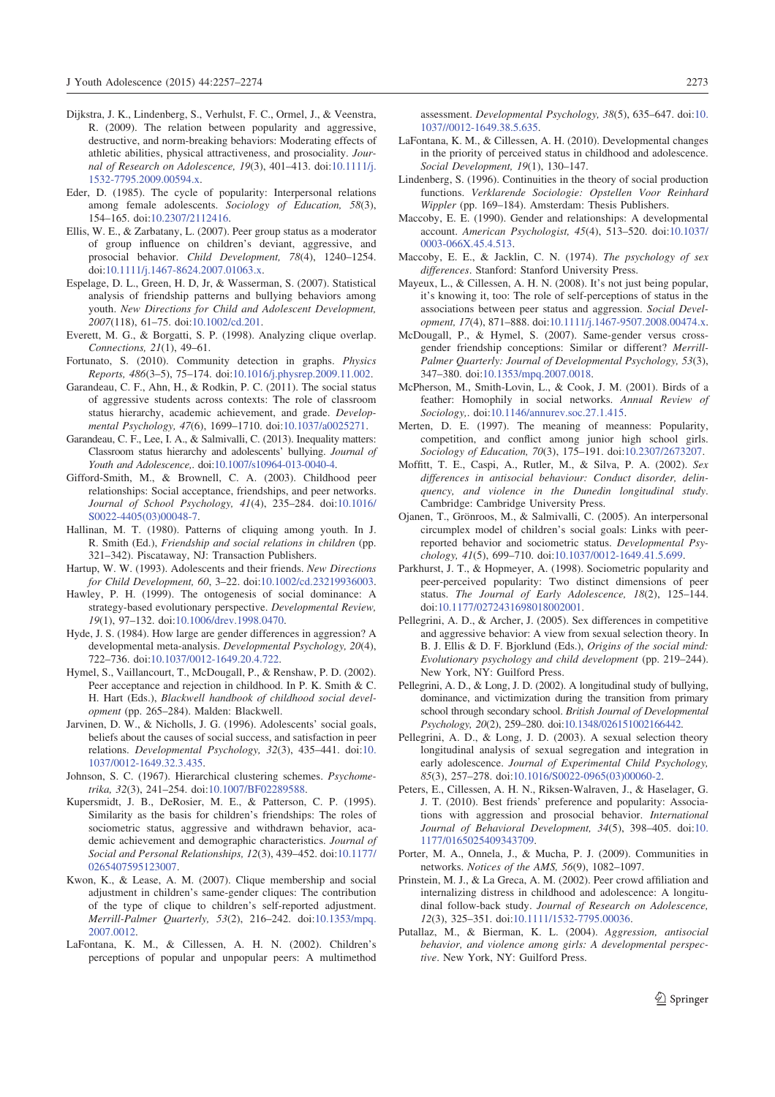- Dijkstra, J. K., Lindenberg, S., Verhulst, F. C., Ormel, J., & Veenstra, R. (2009). The relation between popularity and aggressive, destructive, and norm-breaking behaviors: Moderating effects of athletic abilities, physical attractiveness, and prosociality. Journal of Research on Adolescence, 19(3), 401–413. doi:10.1111/j. 1532-7795.2009.00594.x.
- Eder, D. (1985). The cycle of popularity: Interpersonal relations among female adolescents. Sociology of Education, 58(3), 154–165. doi:10.2307/2112416.
- Ellis, W. E., & Zarbatany, L. (2007). Peer group status as a moderator of group influence on children's deviant, aggressive, and prosocial behavior. Child Development, 78(4), 1240–1254. doi:10.1111/j.1467-8624.2007.01063.x.
- Espelage, D. L., Green, H. D, Jr, & Wasserman, S. (2007). Statistical analysis of friendship patterns and bullying behaviors among youth. New Directions for Child and Adolescent Development, 2007(118), 61–75. doi:10.1002/cd.201.
- Everett, M. G., & Borgatti, S. P. (1998). Analyzing clique overlap. Connections, 21(1), 49–61.
- Fortunato, S. (2010). Community detection in graphs. Physics Reports, 486(3–5), 75–174. doi:10.1016/j.physrep.2009.11.002.
- Garandeau, C. F., Ahn, H., & Rodkin, P. C. (2011). The social status of aggressive students across contexts: The role of classroom status hierarchy, academic achievement, and grade. Developmental Psychology, 47(6), 1699–1710. doi:10.1037/a0025271.
- Garandeau, C. F., Lee, I. A., & Salmivalli, C. (2013). Inequality matters: Classroom status hierarchy and adolescents' bullying. Journal of Youth and Adolescence,. doi:10.1007/s10964-013-0040-4.
- Gifford-Smith, M., & Brownell, C. A. (2003). Childhood peer relationships: Social acceptance, friendships, and peer networks. Journal of School Psychology, 41(4), 235–284. doi:10.1016/ S0022-4405(03)00048-7.
- Hallinan, M. T. (1980). Patterns of cliquing among youth. In J. R. Smith (Ed.), Friendship and social relations in children (pp. 321–342). Piscataway, NJ: Transaction Publishers.
- Hartup, W. W. (1993). Adolescents and their friends. New Directions for Child Development, 60, 3–22. doi:10.1002/cd.23219936003.
- Hawley, P. H. (1999). The ontogenesis of social dominance: A strategy-based evolutionary perspective. Developmental Review, 19(1), 97–132. doi:10.1006/drev.1998.0470.
- Hyde, J. S. (1984). How large are gender differences in aggression? A developmental meta-analysis. Developmental Psychology, 20(4), 722–736. doi:10.1037/0012-1649.20.4.722.
- Hymel, S., Vaillancourt, T., McDougall, P., & Renshaw, P. D. (2002). Peer acceptance and rejection in childhood. In P. K. Smith & C. H. Hart (Eds.), Blackwell handbook of childhood social development (pp. 265–284). Malden: Blackwell.
- Jarvinen, D. W., & Nicholls, J. G. (1996). Adolescents' social goals, beliefs about the causes of social success, and satisfaction in peer relations. Developmental Psychology, 32(3), 435–441. doi:10. 1037/0012-1649.32.3.435.
- Johnson, S. C. (1967). Hierarchical clustering schemes. Psychometrika, 32(3), 241–254. doi:10.1007/BF02289588.
- Kupersmidt, J. B., DeRosier, M. E., & Patterson, C. P. (1995). Similarity as the basis for children's friendships: The roles of sociometric status, aggressive and withdrawn behavior, academic achievement and demographic characteristics. Journal of Social and Personal Relationships, 12(3), 439–452. doi:10.1177/ 0265407595123007.
- Kwon, K., & Lease, A. M. (2007). Clique membership and social adjustment in children's same-gender cliques: The contribution of the type of clique to children's self-reported adjustment. Merrill-Palmer Quarterly, 53(2), 216–242. doi:10.1353/mpq. 2007.0012.
- LaFontana, K. M., & Cillessen, A. H. N. (2002). Children's perceptions of popular and unpopular peers: A multimethod

assessment. Developmental Psychology, 38(5), 635–647. doi:10. 1037//0012-1649.38.5.635.

- LaFontana, K. M., & Cillessen, A. H. (2010). Developmental changes in the priority of perceived status in childhood and adolescence. Social Development, 19(1), 130–147.
- Lindenberg, S. (1996). Continuities in the theory of social production functions. Verklarende Sociologie: Opstellen Voor Reinhard Wippler (pp. 169–184). Amsterdam: Thesis Publishers.
- Maccoby, E. E. (1990). Gender and relationships: A developmental account. American Psychologist, 45(4), 513–520. doi:10.1037/ 0003-066X.45.4.513.
- Maccoby, E. E., & Jacklin, C. N. (1974). The psychology of sex differences. Stanford: Stanford University Press.
- Mayeux, L., & Cillessen, A. H. N. (2008). It's not just being popular, it's knowing it, too: The role of self-perceptions of status in the associations between peer status and aggression. Social Development, 17(4), 871–888. doi:10.1111/j.1467-9507.2008.00474.x.
- McDougall, P., & Hymel, S. (2007). Same-gender versus crossgender friendship conceptions: Similar or different? Merrill-Palmer Quarterly: Journal of Developmental Psychology, 53(3), 347–380. doi:10.1353/mpq.2007.0018.
- McPherson, M., Smith-Lovin, L., & Cook, J. M. (2001). Birds of a feather: Homophily in social networks. Annual Review of Sociology,. doi:10.1146/annurev.soc.27.1.415.
- Merten, D. E. (1997). The meaning of meanness: Popularity, competition, and conflict among junior high school girls. Sociology of Education, 70(3), 175–191. doi:10.2307/2673207.
- Moffitt, T. E., Caspi, A., Rutler, M., & Silva, P. A. (2002). Sex differences in antisocial behaviour: Conduct disorder, delinquency, and violence in the Dunedin longitudinal study. Cambridge: Cambridge University Press.
- Ojanen, T., Grönroos, M., & Salmivalli, C. (2005). An interpersonal circumplex model of children's social goals: Links with peerreported behavior and sociometric status. Developmental Psychology, 41(5), 699–710. doi:10.1037/0012-1649.41.5.699.
- Parkhurst, J. T., & Hopmeyer, A. (1998). Sociometric popularity and peer-perceived popularity: Two distinct dimensions of peer status. The Journal of Early Adolescence, 18(2), 125–144. doi:10.1177/0272431698018002001.
- Pellegrini, A. D., & Archer, J. (2005). Sex differences in competitive and aggressive behavior: A view from sexual selection theory. In B. J. Ellis & D. F. Bjorklund (Eds.), Origins of the social mind: Evolutionary psychology and child development (pp. 219–244). New York, NY: Guilford Press.
- Pellegrini, A. D., & Long, J. D. (2002). A longitudinal study of bullying, dominance, and victimization during the transition from primary school through secondary school. British Journal of Developmental Psychology, 20(2), 259–280. doi:10.1348/026151002166442.
- Pellegrini, A. D., & Long, J. D. (2003). A sexual selection theory longitudinal analysis of sexual segregation and integration in early adolescence. Journal of Experimental Child Psychology, 85(3), 257–278. doi:10.1016/S0022-0965(03)00060-2.
- Peters, E., Cillessen, A. H. N., Riksen-Walraven, J., & Haselager, G. J. T. (2010). Best friends' preference and popularity: Associations with aggression and prosocial behavior. International Journal of Behavioral Development, 34(5), 398–405. doi:10. 1177/0165025409343709.
- Porter, M. A., Onnela, J., & Mucha, P. J. (2009). Communities in networks. Notices of the AMS, 56(9), 1082–1097.
- Prinstein, M. J., & La Greca, A. M. (2002). Peer crowd affiliation and internalizing distress in childhood and adolescence: A longitudinal follow-back study. Journal of Research on Adolescence, 12(3), 325–351. doi:10.1111/1532-7795.00036.
- Putallaz, M., & Bierman, K. L. (2004). Aggression, antisocial behavior, and violence among girls: A developmental perspective. New York, NY: Guilford Press.